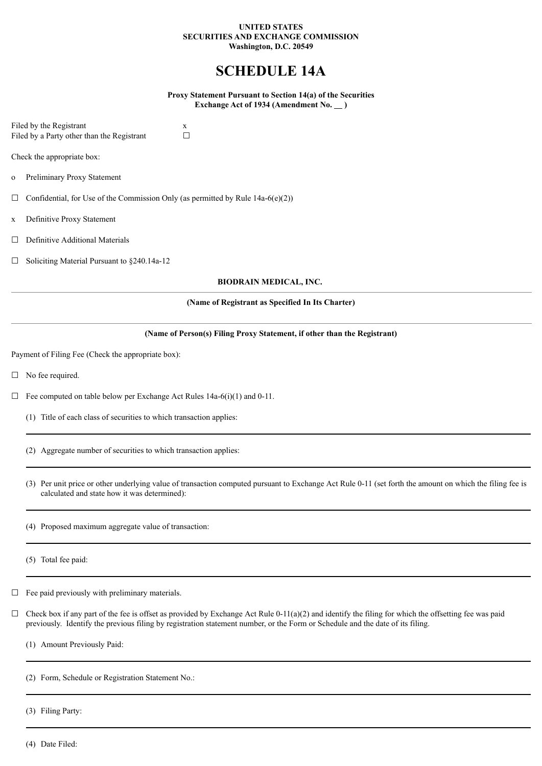### **UNITED STATES SECURITIES AND EXCHANGE COMMISSION Washington, D.C. 20549**

# **SCHEDULE 14A**

**Proxy Statement Pursuant to Section 14(a) of the Securities Exchange Act of 1934 (Amendment No. )**

Filed by the Registrant  $x$ <br>Filed by a Party other than the Registrant  $\square$ Filed by a Party other than the Registrant

Check the appropriate box:

- o Preliminary Proxy Statement
- $\Box$  Confidential, for Use of the Commission Only (as permitted by Rule 14a-6(e)(2))
- x Definitive Proxy Statement
- □ Definitive Additional Materials
- ☐ Soliciting Material Pursuant to §240.14a-12

# **BIODRAIN MEDICAL, INC.**

# **(Name of Registrant as Specified In Its Charter)**

# **(Name of Person(s) Filing Proxy Statement, if other than the Registrant)**

Payment of Filing Fee (Check the appropriate box):

- □ No fee required.
- $\Box$  Fee computed on table below per Exchange Act Rules 14a-6(i)(1) and 0-11.
	- (1) Title of each class of securities to which transaction applies:
	- (2) Aggregate number of securities to which transaction applies:
	- (3) Per unit price or other underlying value of transaction computed pursuant to Exchange Act Rule 0-11 (set forth the amount on which the filing fee is calculated and state how it was determined):
	- (4) Proposed maximum aggregate value of transaction:
	- (5) Total fee paid:
- $\Box$  Fee paid previously with preliminary materials.
- $\Box$  Check box if any part of the fee is offset as provided by Exchange Act Rule 0-11(a)(2) and identify the filing for which the offsetting fee was paid previously. Identify the previous filing by registration statement number, or the Form or Schedule and the date of its filing.
	- (1) Amount Previously Paid:
	- (2) Form, Schedule or Registration Statement No.:
	- (3) Filing Party:
	- (4) Date Filed: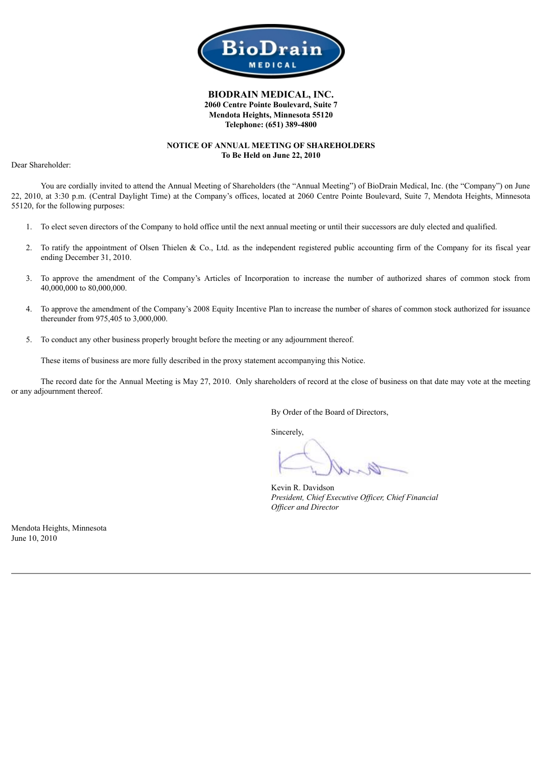

# **BIODRAIN MEDICAL, INC. 2060 Centre Pointe Boulevard, Suite 7 Mendota Heights, Minnesota 55120 Telephone: (651) 389-4800**

# **NOTICE OF ANNUAL MEETING OF SHAREHOLDERS To Be Held on June 22, 2010**

Dear Shareholder:

You are cordially invited to attend the Annual Meeting of Shareholders (the "Annual Meeting") of BioDrain Medical, Inc. (the "Company") on June 22, 2010, at 3:30 p.m. (Central Daylight Time) at the Company's offices, located at 2060 Centre Pointe Boulevard, Suite 7, Mendota Heights, Minnesota 55120, for the following purposes:

- 1. To elect seven directors of the Company to hold office until the next annual meeting or until their successors are duly elected and qualified.
- 2. To ratify the appointment of Olsen Thielen & Co., Ltd. as the independent registered public accounting firm of the Company for its fiscal year ending December 31, 2010.
- 3. To approve the amendment of the Company's Articles of Incorporation to increase the number of authorized shares of common stock from 40,000,000 to 80,000,000.
- 4. To approve the amendment of the Company's 2008 Equity Incentive Plan to increase the number of shares of common stock authorized for issuance thereunder from 975,405 to 3,000,000.
- 5. To conduct any other business properly brought before the meeting or any adjournment thereof.

These items of business are more fully described in the proxy statement accompanying this Notice.

The record date for the Annual Meeting is May 27, 2010. Only shareholders of record at the close of business on that date may vote at the meeting or any adjournment thereof.

By Order of the Board of Directors,

Sincerely,

Kevin R. Davidson *President, Chief Executive Of icer, Chief Financial Of icer and Director*

Mendota Heights, Minnesota June 10, 2010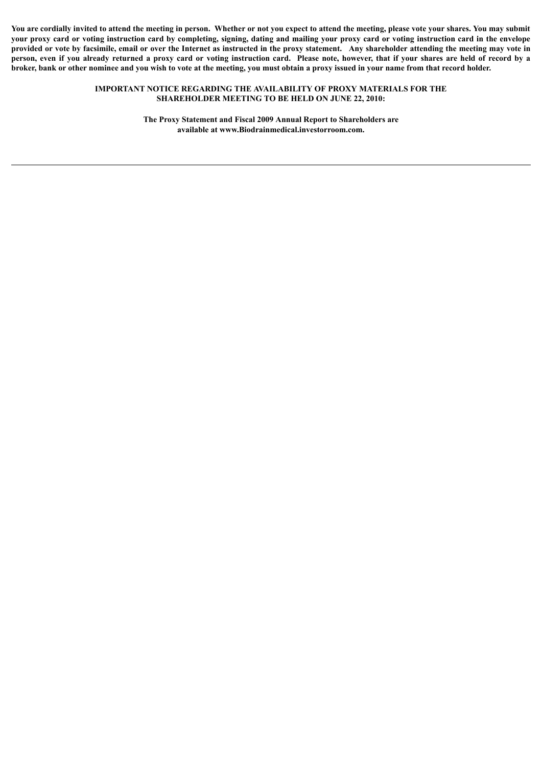You are cordially invited to attend the meeting in person. Whether or not you expect to attend the meeting, please vote your shares. You may submit your proxy card or voting instruction card by completing, signing, dating and mailing your proxy card or voting instruction card in the envelope provided or vote by facsimile, email or over the Internet as instructed in the proxy statement. Any shareholder attending the meeting may vote in person, even if you already returned a proxy card or voting instruction card. Please note, however, that if your shares are held of record by a broker, bank or other nominee and you wish to vote at the meeting, you must obtain a proxy issued in your name from that record holder.

### **IMPORTANT NOTICE REGARDING THE AVAILABILITY OF PROXY MATERIALS FOR THE SHAREHOLDER MEETING TO BE HELD ON JUNE 22, 2010:**

**The Proxy Statement and Fiscal 2009 Annual Report to Shareholders are available at www.Biodrainmedical.investorroom.com.**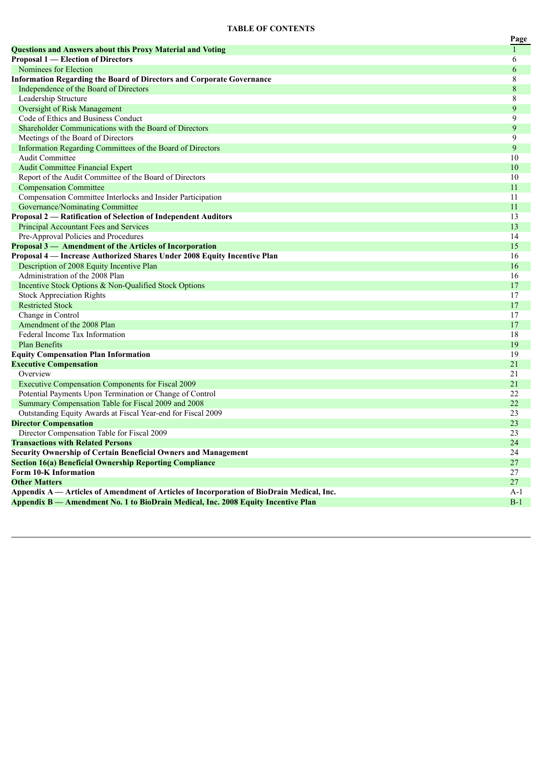### **TABLE OF CONTENTS**

|                                                                                           | Page         |
|-------------------------------------------------------------------------------------------|--------------|
| <b>Questions and Answers about this Proxy Material and Voting</b>                         | $\mathbf{1}$ |
| <b>Proposal 1 — Election of Directors</b>                                                 | 6            |
| Nominees for Election                                                                     | 6            |
| <b>Information Regarding the Board of Directors and Corporate Governance</b>              | $\,$ 8 $\,$  |
| Independence of the Board of Directors                                                    | $\,$ 8 $\,$  |
| Leadership Structure                                                                      | 8            |
| Oversight of Risk Management                                                              | 9            |
| Code of Ethics and Business Conduct                                                       | 9            |
| Shareholder Communications with the Board of Directors                                    | 9            |
| Meetings of the Board of Directors                                                        | 9            |
| Information Regarding Committees of the Board of Directors                                | 9            |
| <b>Audit Committee</b>                                                                    | 10           |
| <b>Audit Committee Financial Expert</b>                                                   | 10           |
| Report of the Audit Committee of the Board of Directors                                   | 10           |
| <b>Compensation Committee</b>                                                             | 11           |
| Compensation Committee Interlocks and Insider Participation                               | 11           |
| Governance/Nominating Committee                                                           | 11           |
| Proposal 2 - Ratification of Selection of Independent Auditors                            | 13           |
| Principal Accountant Fees and Services                                                    | 13           |
| Pre-Approval Policies and Procedures                                                      | 14           |
| Proposal 3 - Amendment of the Articles of Incorporation                                   | 15           |
| Proposal 4 — Increase Authorized Shares Under 2008 Equity Incentive Plan                  | 16           |
| Description of 2008 Equity Incentive Plan                                                 | 16           |
| Administration of the 2008 Plan                                                           | 16           |
| Incentive Stock Options & Non-Qualified Stock Options                                     | 17           |
| <b>Stock Appreciation Rights</b>                                                          | 17           |
| <b>Restricted Stock</b>                                                                   | 17           |
| Change in Control                                                                         | 17           |
| Amendment of the 2008 Plan                                                                | 17           |
| Federal Income Tax Information                                                            | 18           |
| <b>Plan Benefits</b>                                                                      | 19           |
| <b>Equity Compensation Plan Information</b>                                               | 19           |
| <b>Executive Compensation</b>                                                             | 21           |
| Overview                                                                                  | 21           |
| Executive Compensation Components for Fiscal 2009                                         | 21           |
| Potential Payments Upon Termination or Change of Control                                  | 22           |
| Summary Compensation Table for Fiscal 2009 and 2008                                       | 22           |
| Outstanding Equity Awards at Fiscal Year-end for Fiscal 2009                              | 23           |
| <b>Director Compensation</b>                                                              | 23           |
| Director Compensation Table for Fiscal 2009                                               | 23           |
| <b>Transactions with Related Persons</b>                                                  | 24           |
| <b>Security Ownership of Certain Beneficial Owners and Management</b>                     | 24           |
| <b>Section 16(a) Beneficial Ownership Reporting Compliance</b>                            | 27           |
| Form 10-K Information                                                                     | 27           |
| <b>Other Matters</b>                                                                      | 27           |
| Appendix A — Articles of Amendment of Articles of Incorporation of BioDrain Medical, Inc. | A-1          |
| Appendix B — Amendment No. 1 to BioDrain Medical, Inc. 2008 Equity Incentive Plan         | $B-1$        |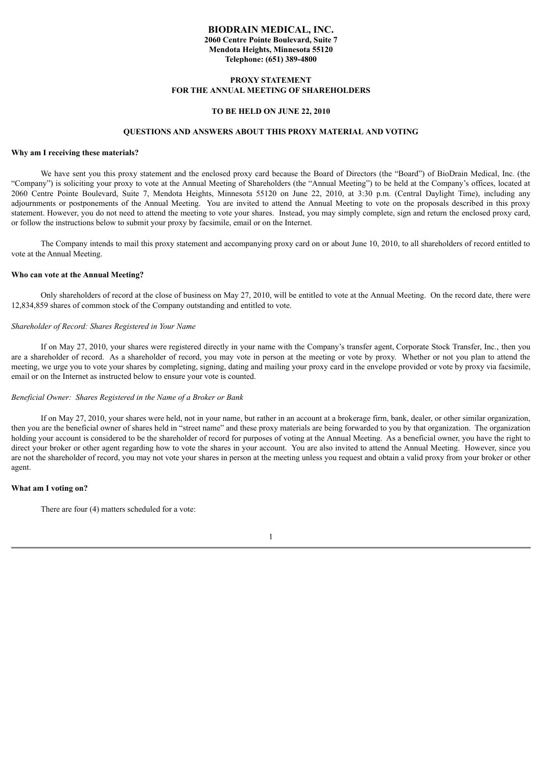### **BIODRAIN MEDICAL, INC. 2060 Centre Pointe Boulevard, Suite 7 Mendota Heights, Minnesota 55120 Telephone: (651) 389-4800**

### **PROXY STATEMENT FOR THE ANNUAL MEETING OF SHAREHOLDERS**

#### **TO BE HELD ON JUNE 22, 2010**

#### **QUESTIONS AND ANSWERS ABOUT THIS PROXY MATERIAL AND VOTING**

### **Why am I receiving these materials?**

We have sent you this proxy statement and the enclosed proxy card because the Board of Directors (the "Board") of BioDrain Medical, Inc. (the "Company") is soliciting your proxy to vote at the Annual Meeting of Shareholders (the "Annual Meeting") to be held at the Company's offices, located at 2060 Centre Pointe Boulevard, Suite 7, Mendota Heights, Minnesota 55120 on June 22, 2010, at 3:30 p.m. (Central Daylight Time), including any adjournments or postponements of the Annual Meeting. You are invited to attend the Annual Meeting to vote on the proposals described in this proxy statement. However, you do not need to attend the meeting to vote your shares. Instead, you may simply complete, sign and return the enclosed proxy card, or follow the instructions below to submit your proxy by facsimile, email or on the Internet.

The Company intends to mail this proxy statement and accompanying proxy card on or about June 10, 2010, to all shareholders of record entitled to vote at the Annual Meeting.

### **Who can vote at the Annual Meeting?**

Only shareholders of record at the close of business on May 27, 2010, will be entitled to vote at the Annual Meeting. On the record date, there were 12,834,859 shares of common stock of the Company outstanding and entitled to vote.

### *Shareholder of Record: Shares Registered in Your Name*

If on May 27, 2010, your shares were registered directly in your name with the Company's transfer agent, Corporate Stock Transfer, Inc., then you are a shareholder of record. As a shareholder of record, you may vote in person at the meeting or vote by proxy. Whether or not you plan to attend the meeting, we urge you to vote your shares by completing, signing, dating and mailing your proxy card in the envelope provided or vote by proxy via facsimile, email or on the Internet as instructed below to ensure your vote is counted.

#### *Beneficial Owner: Shares Registered in the Name of a Broker or Bank*

If on May 27, 2010, your shares were held, not in your name, but rather in an account at a brokerage firm, bank, dealer, or other similar organization, then you are the beneficial owner of shares held in "street name" and these proxy materials are being forwarded to you by that organization. The organization holding your account is considered to be the shareholder of record for purposes of voting at the Annual Meeting. As a beneficial owner, you have the right to direct your broker or other agent regarding how to vote the shares in your account. You are also invited to attend the Annual Meeting. However, since you are not the shareholder of record, you may not vote your shares in person at the meeting unless you request and obtain a valid proxy from your broker or other agent.

#### **What am I voting on?**

There are four (4) matters scheduled for a vote:

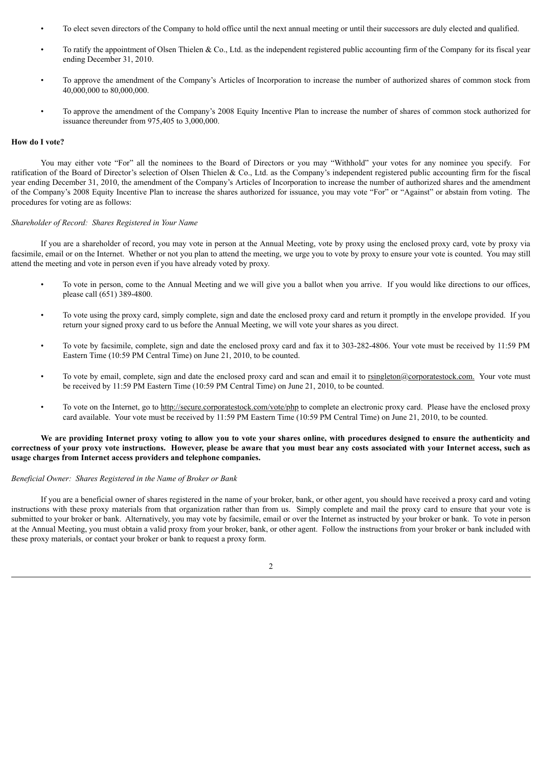- To elect seven directors of the Company to hold office until the next annual meeting or until their successors are duly elected and qualified.
- To ratify the appointment of Olsen Thielen & Co., Ltd. as the independent registered public accounting firm of the Company for its fiscal year ending December 31, 2010.
- To approve the amendment of the Company's Articles of Incorporation to increase the number of authorized shares of common stock from 40,000,000 to 80,000,000.
- To approve the amendment of the Company's 2008 Equity Incentive Plan to increase the number of shares of common stock authorized for issuance thereunder from 975,405 to 3,000,000.

#### **How do I vote?**

You may either vote "For" all the nominees to the Board of Directors or you may "Withhold" your votes for any nominee you specify. For ratification of the Board of Director's selection of Olsen Thielen & Co., Ltd. as the Company's independent registered public accounting firm for the fiscal year ending December 31, 2010, the amendment of the Company's Articles of Incorporation to increase the number of authorized shares and the amendment of the Company's 2008 Equity Incentive Plan to increase the shares authorized for issuance, you may vote "For" or "Against" or abstain from voting. The procedures for voting are as follows:

### *Shareholder of Record: Shares Registered in Your Name*

If you are a shareholder of record, you may vote in person at the Annual Meeting, vote by proxy using the enclosed proxy card, vote by proxy via facsimile, email or on the Internet. Whether or not you plan to attend the meeting, we urge you to vote by proxy to ensure your vote is counted. You may still attend the meeting and vote in person even if you have already voted by proxy.

- To vote in person, come to the Annual Meeting and we will give you a ballot when you arrive. If you would like directions to our offices, please call (651) 389-4800.
- To vote using the proxy card, simply complete, sign and date the enclosed proxy card and return it promptly in the envelope provided. If you return your signed proxy card to us before the Annual Meeting, we will vote your shares as you direct.
- To vote by facsimile, complete, sign and date the enclosed proxy card and fax it to 303-282-4806. Your vote must be received by 11:59 PM Eastern Time (10:59 PM Central Time) on June 21, 2010, to be counted.
- To vote by email, complete, sign and date the enclosed proxy card and scan and email it to rsingleton@corporatestock.com. Your vote must be received by 11:59 PM Eastern Time (10:59 PM Central Time) on June 21, 2010, to be counted.
- To vote on the Internet, go to http://secure.corporatestock.com/vote/php to complete an electronic proxy card. Please have the enclosed proxy card available. Your vote must be received by 11:59 PM Eastern Time (10:59 PM Central Time) on June 21, 2010, to be counted.

### We are providing Internet proxy voting to allow you to vote your shares online, with procedures designed to ensure the authenticity and correctness of your proxy vote instructions. However, please be aware that you must bear any costs associated with your Internet access, such as **usage charges from Internet access providers and telephone companies.**

#### *Beneficial Owner: Shares Registered in the Name of Broker or Bank*

If you are a beneficial owner of shares registered in the name of your broker, bank, or other agent, you should have received a proxy card and voting instructions with these proxy materials from that organization rather than from us. Simply complete and mail the proxy card to ensure that your vote is submitted to your broker or bank. Alternatively, you may vote by facsimile, email or over the Internet as instructed by your broker or bank. To vote in person at the Annual Meeting, you must obtain a valid proxy from your broker, bank, or other agent. Follow the instructions from your broker or bank included with these proxy materials, or contact your broker or bank to request a proxy form.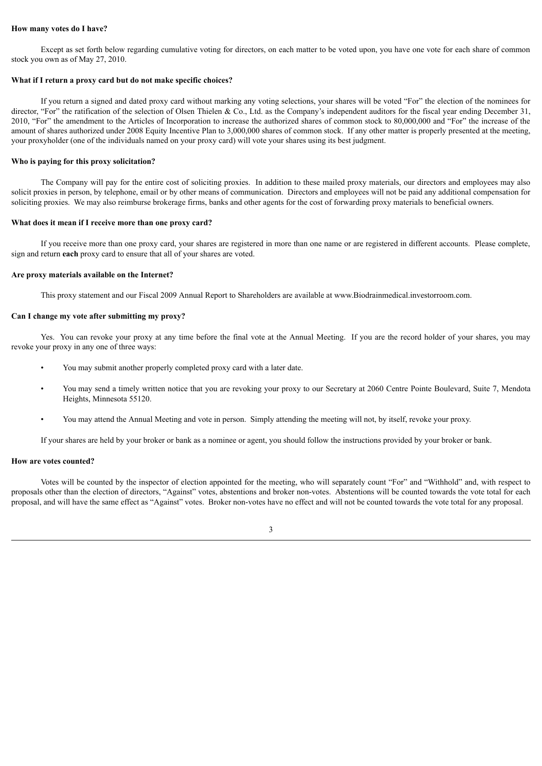### **How many votes do I have?**

Except as set forth below regarding cumulative voting for directors, on each matter to be voted upon, you have one vote for each share of common stock you own as of May 27, 2010.

#### **What if I return a proxy card but do not make specific choices?**

If you return a signed and dated proxy card without marking any voting selections, your shares will be voted "For" the election of the nominees for director, "For" the ratification of the selection of Olsen Thielen & Co., Ltd. as the Company's independent auditors for the fiscal year ending December 31, 2010, "For" the amendment to the Articles of Incorporation to increase the authorized shares of common stock to 80,000,000 and "For" the increase of the amount of shares authorized under 2008 Equity Incentive Plan to 3,000,000 shares of common stock. If any other matter is properly presented at the meeting, your proxyholder (one of the individuals named on your proxy card) will vote your shares using its best judgment.

#### **Who is paying for this proxy solicitation?**

The Company will pay for the entire cost of soliciting proxies. In addition to these mailed proxy materials, our directors and employees may also solicit proxies in person, by telephone, email or by other means of communication. Directors and employees will not be paid any additional compensation for soliciting proxies. We may also reimburse brokerage firms, banks and other agents for the cost of forwarding proxy materials to beneficial owners.

#### **What does it mean if I receive more than one proxy card?**

If you receive more than one proxy card, your shares are registered in more than one name or are registered in different accounts. Please complete, sign and return **each** proxy card to ensure that all of your shares are voted.

#### **Are proxy materials available on the Internet?**

This proxy statement and our Fiscal 2009 Annual Report to Shareholders are available at www.Biodrainmedical.investorroom.com.

# **Can I change my vote after submitting my proxy?**

Yes. You can revoke your proxy at any time before the final vote at the Annual Meeting. If you are the record holder of your shares, you may revoke your proxy in any one of three ways:

- You may submit another properly completed proxy card with a later date.
- You may send a timely written notice that you are revoking your proxy to our Secretary at 2060 Centre Pointe Boulevard, Suite 7, Mendota Heights, Minnesota 55120.
- You may attend the Annual Meeting and vote in person. Simply attending the meeting will not, by itself, revoke your proxy.

If your shares are held by your broker or bank as a nominee or agent, you should follow the instructions provided by your broker or bank.

#### **How are votes counted?**

Votes will be counted by the inspector of election appointed for the meeting, who will separately count "For" and "Withhold" and, with respect to proposals other than the election of directors, "Against" votes, abstentions and broker non-votes. Abstentions will be counted towards the vote total for each proposal, and will have the same effect as "Against" votes. Broker non-votes have no effect and will not be counted towards the vote total for any proposal.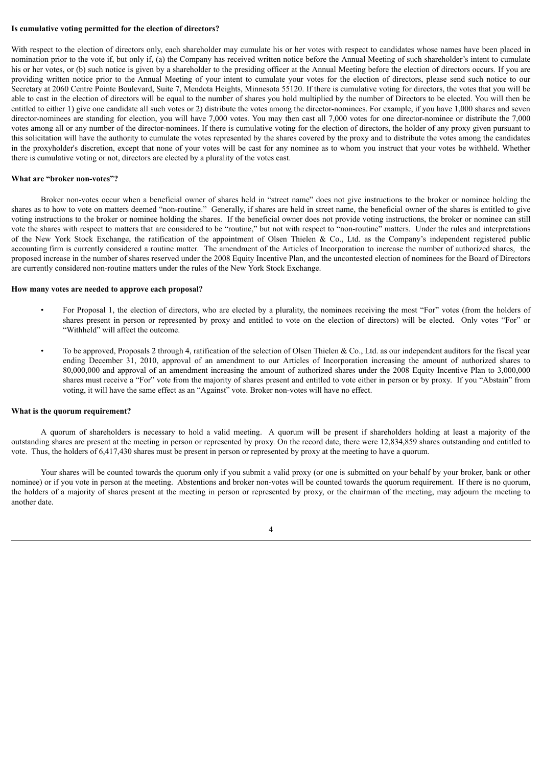#### **Is cumulative voting permitted for the election of directors?**

With respect to the election of directors only, each shareholder may cumulate his or her votes with respect to candidates whose names have been placed in nomination prior to the vote if, but only if, (a) the Company has received written notice before the Annual Meeting of such shareholder's intent to cumulate his or her votes, or (b) such notice is given by a shareholder to the presiding officer at the Annual Meeting before the election of directors occurs. If you are providing written notice prior to the Annual Meeting of your intent to cumulate your votes for the election of directors, please send such notice to our Secretary at 2060 Centre Pointe Boulevard, Suite 7, Mendota Heights, Minnesota 55120. If there is cumulative voting for directors, the votes that you will be able to cast in the election of directors will be equal to the number of shares you hold multiplied by the number of Directors to be elected. You will then be entitled to either 1) give one candidate all such votes or 2) distribute the votes among the director-nominees. For example, if you have 1,000 shares and seven director-nominees are standing for election, you will have 7,000 votes. You may then cast all 7,000 votes for one director-nominee or distribute the 7,000 votes among all or any number of the director-nominees. If there is cumulative voting for the election of directors, the holder of any proxy given pursuant to this solicitation will have the authority to cumulate the votes represented by the shares covered by the proxy and to distribute the votes among the candidates in the proxyholder's discretion, except that none of your votes will be cast for any nominee as to whom you instruct that your votes be withheld. Whether there is cumulative voting or not, directors are elected by a plurality of the votes cast.

#### **What are "broker non-votes"?**

Broker non-votes occur when a beneficial owner of shares held in "street name" does not give instructions to the broker or nominee holding the shares as to how to vote on matters deemed "non-routine." Generally, if shares are held in street name, the beneficial owner of the shares is entitled to give voting instructions to the broker or nominee holding the shares. If the beneficial owner does not provide voting instructions, the broker or nominee can still vote the shares with respect to matters that are considered to be "routine," but not with respect to "non-routine" matters. Under the rules and interpretations of the New York Stock Exchange, the ratification of the appointment of Olsen Thielen & Co., Ltd. as the Company's independent registered public accounting firm is currently considered a routine matter. The amendment of the Articles of Incorporation to increase the number of authorized shares, the proposed increase in the number of shares reserved under the 2008 Equity Incentive Plan, and the uncontested election of nominees for the Board of Directors are currently considered non-routine matters under the rules of the New York Stock Exchange.

#### **How many votes are needed to approve each proposal?**

- For Proposal 1, the election of directors, who are elected by a plurality, the nominees receiving the most "For" votes (from the holders of shares present in person or represented by proxy and entitled to vote on the election of directors) will be elected. Only votes "For" or "Withheld" will affect the outcome.
- To be approved, Proposals 2 through 4, ratification of the selection of Olsen Thielen & Co., Ltd. as our independent auditors for the fiscal year ending December 31, 2010, approval of an amendment to our Articles of Incorporation increasing the amount of authorized shares to 80,000,000 and approval of an amendment increasing the amount of authorized shares under the 2008 Equity Incentive Plan to 3,000,000 shares must receive a "For" vote from the majority of shares present and entitled to vote either in person or by proxy. If you "Abstain" from voting, it will have the same effect as an "Against" vote. Broker non-votes will have no effect.

#### **What is the quorum requirement?**

A quorum of shareholders is necessary to hold a valid meeting. A quorum will be present if shareholders holding at least a majority of the outstanding shares are present at the meeting in person or represented by proxy. On the record date, there were 12,834,859 shares outstanding and entitled to vote. Thus, the holders of 6,417,430 shares must be present in person or represented by proxy at the meeting to have a quorum.

Your shares will be counted towards the quorum only if you submit a valid proxy (or one is submitted on your behalf by your broker, bank or other nominee) or if you vote in person at the meeting. Abstentions and broker non-votes will be counted towards the quorum requirement. If there is no quorum, the holders of a majority of shares present at the meeting in person or represented by proxy, or the chairman of the meeting, may adjourn the meeting to another date.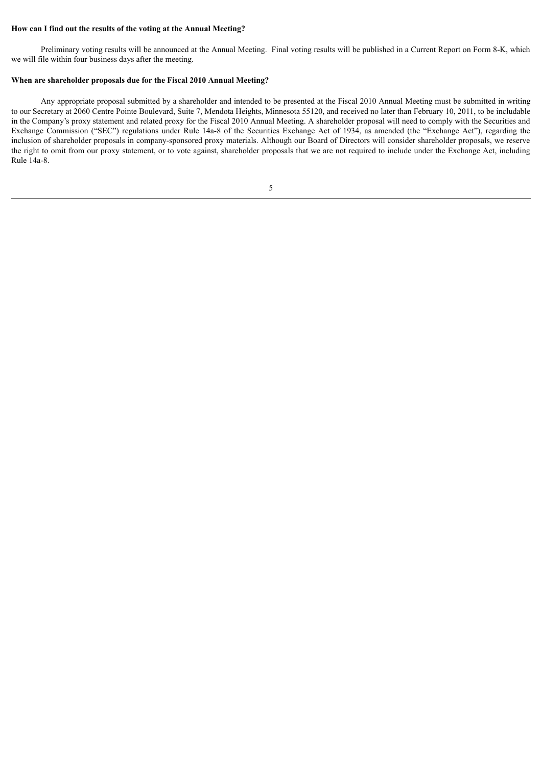### **How can I find out the results of the voting at the Annual Meeting?**

Preliminary voting results will be announced at the Annual Meeting. Final voting results will be published in a Current Report on Form 8-K, which we will file within four business days after the meeting.

### **When are shareholder proposals due for the Fiscal 2010 Annual Meeting?**

Any appropriate proposal submitted by a shareholder and intended to be presented at the Fiscal 2010 Annual Meeting must be submitted in writing to our Secretary at 2060 Centre Pointe Boulevard, Suite 7, Mendota Heights, Minnesota 55120, and received no later than February 10, 2011, to be includable in the Company's proxy statement and related proxy for the Fiscal 2010 Annual Meeting. A shareholder proposal will need to comply with the Securities and Exchange Commission ("SEC") regulations under Rule 14a-8 of the Securities Exchange Act of 1934, as amended (the "Exchange Act"), regarding the inclusion of shareholder proposals in company-sponsored proxy materials. Although our Board of Directors will consider shareholder proposals, we reserve the right to omit from our proxy statement, or to vote against, shareholder proposals that we are not required to include under the Exchange Act, including Rule 14a-8.

5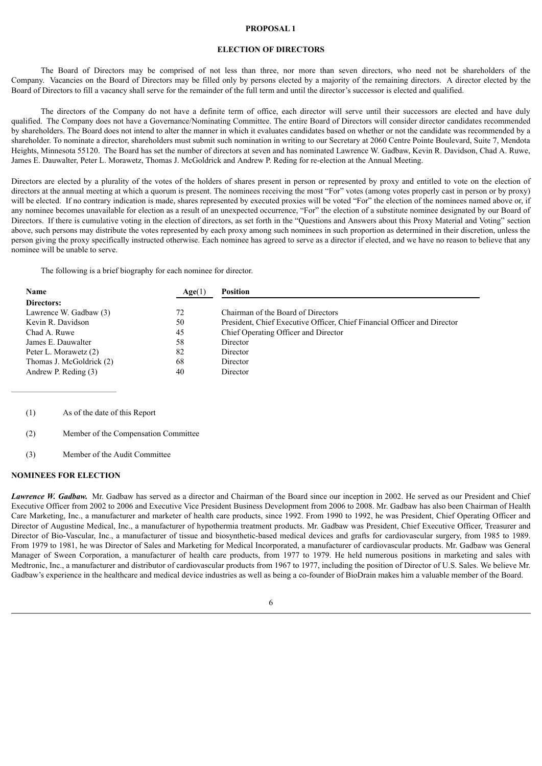#### **PROPOSAL 1**

# **ELECTION OF DIRECTORS**

The Board of Directors may be comprised of not less than three, nor more than seven directors, who need not be shareholders of the Company. Vacancies on the Board of Directors may be filled only by persons elected by a majority of the remaining directors. A director elected by the Board of Directors to fill a vacancy shall serve for the remainder of the full term and until the director's successor is elected and qualified.

The directors of the Company do not have a definite term of office, each director will serve until their successors are elected and have duly qualified. The Company does not have a Governance/Nominating Committee. The entire Board of Directors will consider director candidates recommended by shareholders. The Board does not intend to alter the manner in which it evaluates candidates based on whether or not the candidate was recommended by a shareholder. To nominate a director, shareholders must submit such nomination in writing to our Secretary at 2060 Centre Pointe Boulevard, Suite 7, Mendota Heights, Minnesota 55120. The Board has set the number of directors at seven and has nominated Lawrence W. Gadbaw, Kevin R. Davidson, Chad A. Ruwe, James E. Dauwalter, Peter L. Morawetz, Thomas J. McGoldrick and Andrew P. Reding for re-election at the Annual Meeting.

Directors are elected by a plurality of the votes of the holders of shares present in person or represented by proxy and entitled to vote on the election of directors at the annual meeting at which a quorum is present. The nominees receiving the most "For" votes (among votes properly cast in person or by proxy) will be elected. If no contrary indication is made, shares represented by executed proxies will be voted "For" the election of the nominees named above or, if any nominee becomes unavailable for election as a result of an unexpected occurrence, "For" the election of a substitute nominee designated by our Board of Directors. If there is cumulative voting in the election of directors, as set forth in the "Questions and Answers about this Proxy Material and Voting" section above, such persons may distribute the votes represented by each proxy among such nominees in such proportion as determined in their discretion, unless the person giving the proxy specifically instructed otherwise. Each nominee has agreed to serve as a director if elected, and we have no reason to believe that any nominee will be unable to serve.

The following is a brief biography for each nominee for director.

| Name                     | Age(1) | <b>Position</b>                                                          |
|--------------------------|--------|--------------------------------------------------------------------------|
| Directors:               |        |                                                                          |
| Lawrence W. Gadbaw (3)   | 72     | Chairman of the Board of Directors                                       |
| Kevin R. Davidson        | 50     | President, Chief Executive Officer, Chief Financial Officer and Director |
| Chad A. Ruwe             | 45     | Chief Operating Officer and Director                                     |
| James E. Dauwalter       | 58     | Director                                                                 |
| Peter L. Morawetz (2)    | 82     | Director                                                                 |
| Thomas J. McGoldrick (2) | 68     | Director                                                                 |
| Andrew P. Reding (3)     | 40     | Director                                                                 |

(1) As of the date of this Report

- (2) Member of the Compensation Committee
- (3) Member of the Audit Committee

### **NOMINEES FOR ELECTION**

*Lawrence W. Gadbaw.* Mr. Gadbaw has served as a director and Chairman of the Board since our inception in 2002. He served as our President and Chief Executive Officer from 2002 to 2006 and Executive Vice President Business Development from 2006 to 2008. Mr. Gadbaw has also been Chairman of Health Care Marketing, Inc., a manufacturer and marketer of health care products, since 1992. From 1990 to 1992, he was President, Chief Operating Officer and Director of Augustine Medical, Inc., a manufacturer of hypothermia treatment products. Mr. Gadbaw was President, Chief Executive Officer, Treasurer and Director of Bio-Vascular, Inc., a manufacturer of tissue and biosynthetic-based medical devices and grafts for cardiovascular surgery, from 1985 to 1989. From 1979 to 1981, he was Director of Sales and Marketing for Medical Incorporated, a manufacturer of cardiovascular products. Mr. Gadbaw was General Manager of Sween Corporation, a manufacturer of health care products, from 1977 to 1979. He held numerous positions in marketing and sales with Medtronic, Inc., a manufacturer and distributor of cardiovascular products from 1967 to 1977, including the position of Director of U.S. Sales. We believe Mr. Gadbaw's experience in the healthcare and medical device industries as well as being a co-founder of BioDrain makes him a valuable member of the Board.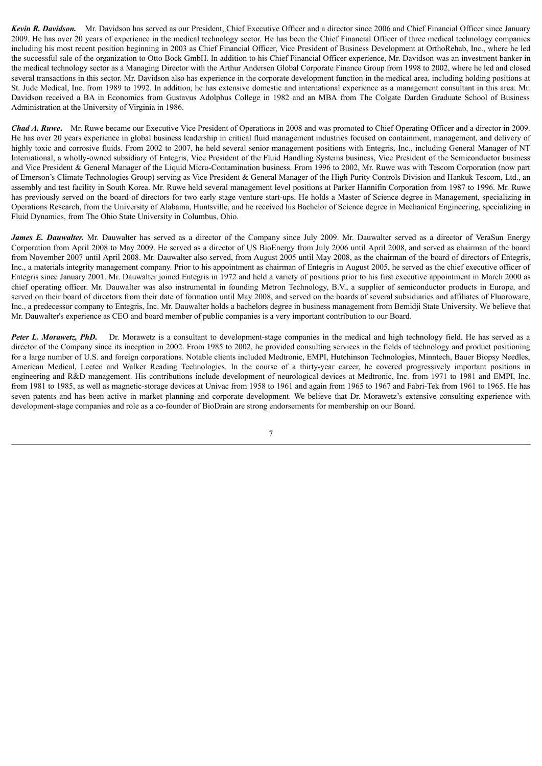*Kevin R. Davidson.* Mr. Davidson has served as our President, Chief Executive Officer and a director since 2006 and Chief Financial Officer since January 2009. He has over 20 years of experience in the medical technology sector. He has been the Chief Financial Officer of three medical technology companies including his most recent position beginning in 2003 as Chief Financial Officer, Vice President of Business Development at OrthoRehab, Inc., where he led the successful sale of the organization to Otto Bock GmbH. In addition to his Chief Financial Officer experience, Mr. Davidson was an investment banker in the medical technology sector as a Managing Director with the Arthur Andersen Global Corporate Finance Group from 1998 to 2002, where he led and closed several transactions in this sector. Mr. Davidson also has experience in the corporate development function in the medical area, including holding positions at St. Jude Medical, Inc. from 1989 to 1992. In addition, he has extensive domestic and international experience as a management consultant in this area. Mr. Davidson received a BA in Economics from Gustavus Adolphus College in 1982 and an MBA from The Colgate Darden Graduate School of Business Administration at the University of Virginia in 1986.

*Chad A. Ruwe***.** Mr. Ruwe became our Executive Vice President of Operations in 2008 and was promoted to Chief Operating Officer and a director in 2009. He has over 20 years experience in global business leadership in critical fluid management industries focused on containment, management, and delivery of highly toxic and corrosive fluids. From 2002 to 2007, he held several senior management positions with Entegris, Inc., including General Manager of NT International, a wholly-owned subsidiary of Entegris, Vice President of the Fluid Handling Systems business, Vice President of the Semiconductor business and Vice President & General Manager of the Liquid Micro-Contamination business. From 1996 to 2002, Mr. Ruwe was with Tescom Corporation (now part of Emerson's Climate Technologies Group) serving as Vice President & General Manager of the High Purity Controls Division and Hankuk Tescom, Ltd., an assembly and test facility in South Korea. Mr. Ruwe held several management level positions at Parker Hannifin Corporation from 1987 to 1996. Mr. Ruwe has previously served on the board of directors for two early stage venture start-ups. He holds a Master of Science degree in Management, specializing in Operations Research, from the University of Alabama, Huntsville, and he received his Bachelor of Science degree in Mechanical Engineering, specializing in Fluid Dynamics, from The Ohio State University in Columbus, Ohio.

*James E. Dauwalter.* Mr. Dauwalter has served as a director of the Company since July 2009. Mr. Dauwalter served as a director of VeraSun Energy Corporation from April 2008 to May 2009. He served as a director of US BioEnergy from July 2006 until April 2008, and served as chairman of the board from November 2007 until April 2008. Mr. Dauwalter also served, from August 2005 until May 2008, as the chairman of the board of directors of Entegris, Inc., a materials integrity management company. Prior to his appointment as chairman of Entegris in August 2005, he served as the chief executive officer of Entegris since January 2001. Mr. Dauwalter joined Entegris in 1972 and held a variety of positions prior to his first executive appointment in March 2000 as chief operating officer. Mr. Dauwalter was also instrumental in founding Metron Technology, B.V., a supplier of semiconductor products in Europe, and served on their board of directors from their date of formation until May 2008, and served on the boards of several subsidiaries and affiliates of Fluoroware, Inc., a predecessor company to Entegris, Inc. Mr. Dauwalter holds a bachelors degree in business management from Bemidji State University. We believe that Mr. Dauwalter's experience as CEO and board member of public companies is a very important contribution to our Board.

*Peter L. Morawetz, PhD.* Dr. Morawetz is a consultant to development-stage companies in the medical and high technology field. He has served as a director of the Company since its inception in 2002. From 1985 to 2002, he provided consulting services in the fields of technology and product positioning for a large number of U.S. and foreign corporations. Notable clients included Medtronic, EMPI, Hutchinson Technologies, Minntech, Bauer Biopsy Needles, American Medical, Lectec and Walker Reading Technologies. In the course of a thirty-year career, he covered progressively important positions in engineering and R&D management. His contributions include development of neurological devices at Medtronic, Inc. from 1971 to 1981 and EMPI, Inc. from 1981 to 1985, as well as magnetic-storage devices at Univac from 1958 to 1961 and again from 1965 to 1967 and Fabri-Tek from 1961 to 1965. He has seven patents and has been active in market planning and corporate development. We believe that Dr. Morawetz's extensive consulting experience with development-stage companies and role as a co-founder of BioDrain are strong endorsements for membership on our Board.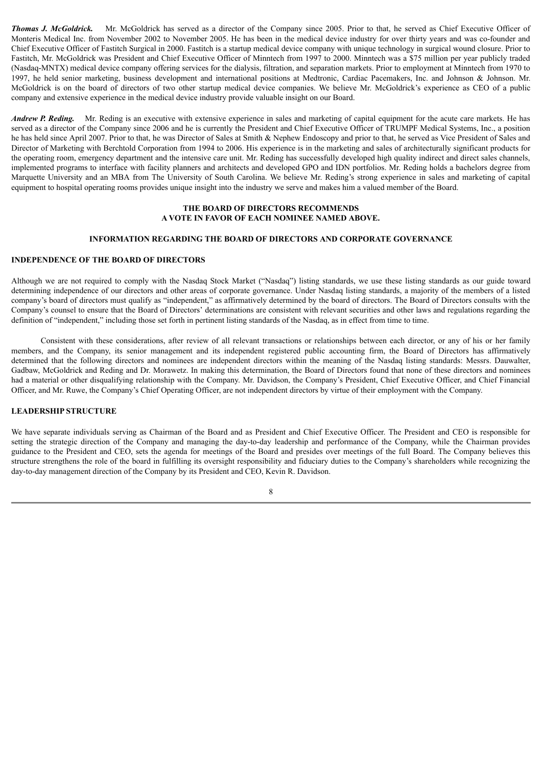*Thomas J. McGoldrick.* Mr. McGoldrick has served as a director of the Company since 2005. Prior to that, he served as Chief Executive Officer of Monteris Medical Inc. from November 2002 to November 2005. He has been in the medical device industry for over thirty years and was co-founder and Chief Executive Officer of Fastitch Surgical in 2000. Fastitch is a startup medical device company with unique technology in surgical wound closure. Prior to Fastitch, Mr. McGoldrick was President and Chief Executive Officer of Minntech from 1997 to 2000. Minntech was a \$75 million per year publicly traded (Nasdaq-MNTX) medical device company offering services for the dialysis, filtration, and separation markets. Prior to employment at Minntech from 1970 to 1997, he held senior marketing, business development and international positions at Medtronic, Cardiac Pacemakers, Inc. and Johnson & Johnson. Mr. McGoldrick is on the board of directors of two other startup medical device companies. We believe Mr. McGoldrick's experience as CEO of a public company and extensive experience in the medical device industry provide valuable insight on our Board.

*Andrew P. Reding.* Mr. Reding is an executive with extensive experience in sales and marketing of capital equipment for the acute care markets. He has served as a director of the Company since 2006 and he is currently the President and Chief Executive Officer of TRUMPF Medical Systems, Inc., a position he has held since April 2007. Prior to that, he was Director of Sales at Smith & Nephew Endoscopy and prior to that, he served as Vice President of Sales and Director of Marketing with Berchtold Corporation from 1994 to 2006. His experience is in the marketing and sales of architecturally significant products for the operating room, emergency department and the intensive care unit. Mr. Reding has successfully developed high quality indirect and direct sales channels, implemented programs to interface with facility planners and architects and developed GPO and IDN portfolios. Mr. Reding holds a bachelors degree from Marquette University and an MBA from The University of South Carolina. We believe Mr. Reding's strong experience in sales and marketing of capital equipment to hospital operating rooms provides unique insight into the industry we serve and makes him a valued member of the Board.

# **THE BOARD OF DIRECTORS RECOMMENDS A VOTE IN FAVOR OF EACH NOMINEE NAMED ABOVE.**

### **INFORMATION REGARDING THE BOARD OF DIRECTORS AND CORPORATE GOVERNANCE**

#### **INDEPENDENCE OF THE BOARD OF DIRECTORS**

Although we are not required to comply with the Nasdaq Stock Market ("Nasdaq") listing standards, we use these listing standards as our guide toward determining independence of our directors and other areas of corporate governance. Under Nasdaq listing standards, a majority of the members of a listed company's board of directors must qualify as "independent," as affirmatively determined by the board of directors. The Board of Directors consults with the Company's counsel to ensure that the Board of Directors' determinations are consistent with relevant securities and other laws and regulations regarding the definition of "independent," including those set forth in pertinent listing standards of the Nasdaq, as in effect from time to time.

Consistent with these considerations, after review of all relevant transactions or relationships between each director, or any of his or her family members, and the Company, its senior management and its independent registered public accounting firm, the Board of Directors has affirmatively determined that the following directors and nominees are independent directors within the meaning of the Nasdaq listing standards: Messrs. Dauwalter, Gadbaw, McGoldrick and Reding and Dr. Morawetz. In making this determination, the Board of Directors found that none of these directors and nominees had a material or other disqualifying relationship with the Company. Mr. Davidson, the Company's President, Chief Executive Officer, and Chief Financial Officer, and Mr. Ruwe, the Company's Chief Operating Officer, are not independent directors by virtue of their employment with the Company.

# **LEADERSHIP STRUCTURE**

We have separate individuals serving as Chairman of the Board and as President and Chief Executive Officer. The President and CEO is responsible for setting the strategic direction of the Company and managing the day-to-day leadership and performance of the Company, while the Chairman provides guidance to the President and CEO, sets the agenda for meetings of the Board and presides over meetings of the full Board. The Company believes this structure strengthens the role of the board in fulfilling its oversight responsibility and fiduciary duties to the Company's shareholders while recognizing the day-to-day management direction of the Company by its President and CEO, Kevin R. Davidson.

8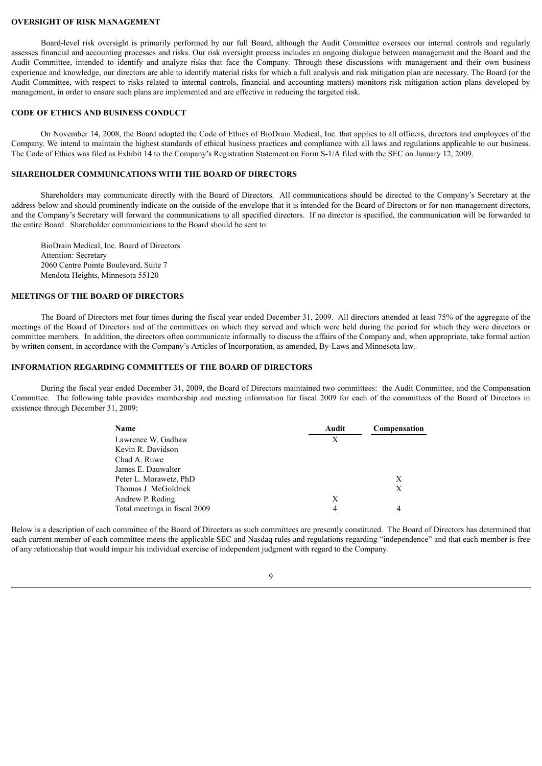#### **OVERSIGHT OF RISK MANAGEMENT**

Board-level risk oversight is primarily performed by our full Board, although the Audit Committee oversees our internal controls and regularly assesses financial and accounting processes and risks. Our risk oversight process includes an ongoing dialogue between management and the Board and the Audit Committee, intended to identify and analyze risks that face the Company. Through these discussions with management and their own business experience and knowledge, our directors are able to identify material risks for which a full analysis and risk mitigation plan are necessary. The Board (or the Audit Committee, with respect to risks related to internal controls, financial and accounting matters) monitors risk mitigation action plans developed by management, in order to ensure such plans are implemented and are effective in reducing the targeted risk.

### **CODE OF ETHICS AND BUSINESS CONDUCT**

On November 14, 2008, the Board adopted the Code of Ethics of BioDrain Medical, Inc. that applies to all officers, directors and employees of the Company. We intend to maintain the highest standards of ethical business practices and compliance with all laws and regulations applicable to our business. The Code of Ethics was filed as Exhibit 14 to the Company's Registration Statement on Form S-1/A filed with the SEC on January 12, 2009.

### **SHAREHOLDER COMMUNICATIONS WITH THE BOARD OF DIRECTORS**

Shareholders may communicate directly with the Board of Directors. All communications should be directed to the Company's Secretary at the address below and should prominently indicate on the outside of the envelope that it is intended for the Board of Directors or for non-management directors, and the Company's Secretary will forward the communications to all specified directors. If no director is specified, the communication will be forwarded to the entire Board. Shareholder communications to the Board should be sent to:

BioDrain Medical, Inc. Board of Directors Attention: Secretary 2060 Centre Pointe Boulevard, Suite 7 Mendota Heights, Minnesota 55120

#### **MEETINGS OF THE BOARD OF DIRECTORS**

The Board of Directors met four times during the fiscal year ended December 31, 2009. All directors attended at least 75% of the aggregate of the meetings of the Board of Directors and of the committees on which they served and which were held during the period for which they were directors or committee members. In addition, the directors often communicate informally to discuss the affairs of the Company and, when appropriate, take formal action by written consent, in accordance with the Company's Articles of Incorporation, as amended, By-Laws and Minnesota law.

### **INFORMATION REGARDING COMMITTEES OF THE BOARD OF DIRECTORS**

During the fiscal year ended December 31, 2009, the Board of Directors maintained two committees: the Audit Committee, and the Compensation Committee. The following table provides membership and meeting information for fiscal 2009 for each of the committees of the Board of Directors in existence through December 31, 2009:

| Name                          | Audit | Compensation |
|-------------------------------|-------|--------------|
| Lawrence W. Gadbaw            | Х     |              |
| Kevin R. Davidson             |       |              |
| Chad A. Ruwe                  |       |              |
| James E. Dauwalter            |       |              |
| Peter L. Morawetz, PhD        |       | X            |
| Thomas J. McGoldrick          |       | X            |
| Andrew P. Reding              | X     |              |
| Total meetings in fiscal 2009 | 4     |              |

Below is a description of each committee of the Board of Directors as such committees are presently constituted. The Board of Directors has determined that each current member of each committee meets the applicable SEC and Nasdaq rules and regulations regarding "independence" and that each member is free of any relationship that would impair his individual exercise of independent judgment with regard to the Company.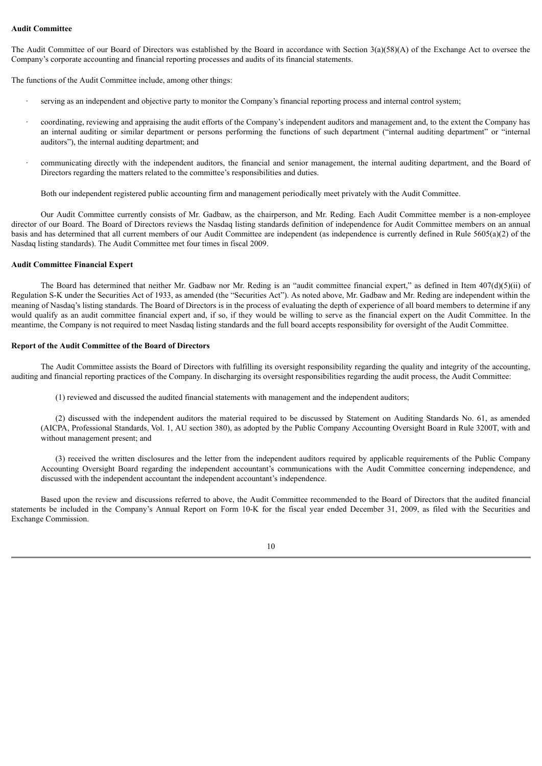### **Audit Committee**

The Audit Committee of our Board of Directors was established by the Board in accordance with Section  $3(a)(58)(A)$  of the Exchange Act to oversee the Company's corporate accounting and financial reporting processes and audits of its financial statements.

The functions of the Audit Committee include, among other things:

- serving as an independent and objective party to monitor the Company's financial reporting process and internal control system;
- · coordinating, reviewing and appraising the audit efforts of the Company's independent auditors and management and, to the extent the Company has an internal auditing or similar department or persons performing the functions of such department ("internal auditing department" or "internal auditors"), the internal auditing department; and
- communicating directly with the independent auditors, the financial and senior management, the internal auditing department, and the Board of Directors regarding the matters related to the committee's responsibilities and duties.

Both our independent registered public accounting firm and management periodically meet privately with the Audit Committee.

Our Audit Committee currently consists of Mr. Gadbaw, as the chairperson, and Mr. Reding. Each Audit Committee member is a non-employee director of our Board. The Board of Directors reviews the Nasdaq listing standards definition of independence for Audit Committee members on an annual basis and has determined that all current members of our Audit Committee are independent (as independence is currently defined in Rule 5605(a)(2) of the Nasdaq listing standards). The Audit Committee met four times in fiscal 2009.

#### **Audit Committee Financial Expert**

The Board has determined that neither Mr. Gadbaw nor Mr. Reding is an "audit committee financial expert," as defined in Item 407(d)(5)(ii) of Regulation S-K under the Securities Act of 1933, as amended (the "Securities Act"). As noted above, Mr. Gadbaw and Mr. Reding are independent within the meaning of Nasdaq's listing standards. The Board of Directors is in the process of evaluating the depth of experience of all board members to determine if any would qualify as an audit committee financial expert and, if so, if they would be willing to serve as the financial expert on the Audit Committee. In the meantime, the Company is not required to meet Nasdaq listing standards and the full board accepts responsibility for oversight of the Audit Committee.

### **Report of the Audit Committee of the Board of Directors**

The Audit Committee assists the Board of Directors with fulfilling its oversight responsibility regarding the quality and integrity of the accounting, auditing and financial reporting practices of the Company. In discharging its oversight responsibilities regarding the audit process, the Audit Committee:

(1) reviewed and discussed the audited financial statements with management and the independent auditors;

(2) discussed with the independent auditors the material required to be discussed by Statement on Auditing Standards No. 61, as amended (AICPA, Professional Standards, Vol. 1, AU section 380), as adopted by the Public Company Accounting Oversight Board in Rule 3200T, with and without management present; and

(3) received the written disclosures and the letter from the independent auditors required by applicable requirements of the Public Company Accounting Oversight Board regarding the independent accountant's communications with the Audit Committee concerning independence, and discussed with the independent accountant the independent accountant's independence.

Based upon the review and discussions referred to above, the Audit Committee recommended to the Board of Directors that the audited financial statements be included in the Company's Annual Report on Form 10-K for the fiscal year ended December 31, 2009, as filed with the Securities and Exchange Commission.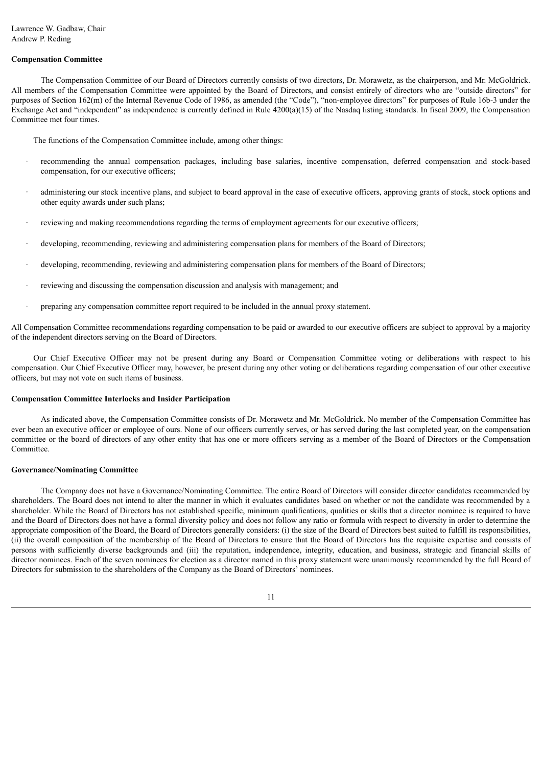# **Compensation Committee**

The Compensation Committee of our Board of Directors currently consists of two directors, Dr. Morawetz, as the chairperson, and Mr. McGoldrick. All members of the Compensation Committee were appointed by the Board of Directors, and consist entirely of directors who are "outside directors" for purposes of Section 162(m) of the Internal Revenue Code of 1986, as amended (the "Code"), "non-employee directors" for purposes of Rule 16b-3 under the Exchange Act and "independent" as independence is currently defined in Rule 4200(a)(15) of the Nasdaq listing standards. In fiscal 2009, the Compensation Committee met four times.

The functions of the Compensation Committee include, among other things:

- recommending the annual compensation packages, including base salaries, incentive compensation, deferred compensation and stock-based compensation, for our executive officers;
- administering our stock incentive plans, and subject to board approval in the case of executive officers, approving grants of stock, stock options and other equity awards under such plans;
- reviewing and making recommendations regarding the terms of employment agreements for our executive officers;
- developing, recommending, reviewing and administering compensation plans for members of the Board of Directors;
- developing, recommending, reviewing and administering compensation plans for members of the Board of Directors;
- reviewing and discussing the compensation discussion and analysis with management; and
- · preparing any compensation committee report required to be included in the annual proxy statement.

All Compensation Committee recommendations regarding compensation to be paid or awarded to our executive officers are subject to approval by a majority of the independent directors serving on the Board of Directors.

Our Chief Executive Officer may not be present during any Board or Compensation Committee voting or deliberations with respect to his compensation. Our Chief Executive Officer may, however, be present during any other voting or deliberations regarding compensation of our other executive officers, but may not vote on such items of business.

#### **Compensation Committee Interlocks and Insider Participation**

As indicated above, the Compensation Committee consists of Dr. Morawetz and Mr. McGoldrick. No member of the Compensation Committee has ever been an executive officer or employee of ours. None of our officers currently serves, or has served during the last completed year, on the compensation committee or the board of directors of any other entity that has one or more officers serving as a member of the Board of Directors or the Compensation Committee.

#### **Governance/Nominating Committee**

The Company does not have a Governance/Nominating Committee. The entire Board of Directors will consider director candidates recommended by shareholders. The Board does not intend to alter the manner in which it evaluates candidates based on whether or not the candidate was recommended by a shareholder. While the Board of Directors has not established specific, minimum qualifications, qualities or skills that a director nominee is required to have and the Board of Directors does not have a formal diversity policy and does not follow any ratio or formula with respect to diversity in order to determine the appropriate composition of the Board, the Board of Directors generally considers: (i) the size of the Board of Directors best suited to fulfill its responsibilities, (ii) the overall composition of the membership of the Board of Directors to ensure that the Board of Directors has the requisite expertise and consists of persons with sufficiently diverse backgrounds and (iii) the reputation, independence, integrity, education, and business, strategic and financial skills of director nominees. Each of the seven nominees for election as a director named in this proxy statement were unanimously recommended by the full Board of Directors for submission to the shareholders of the Company as the Board of Directors' nominees.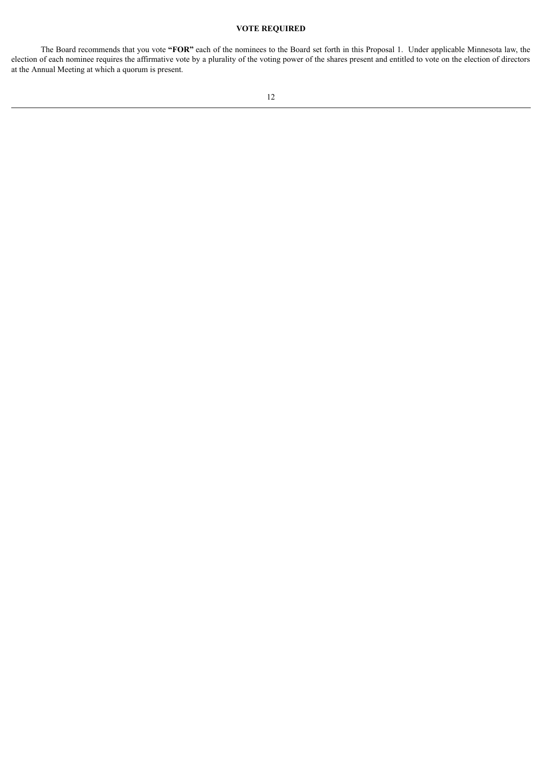# **VOTE REQUIRED**

The Board recommends that you vote **"FOR"** each of the nominees to the Board set forth in this Proposal 1. Under applicable Minnesota law, the election of each nominee requires the affirmative vote by a plurality of the voting power of the shares present and entitled to vote on the election of directors at the Annual Meeting at which a quorum is present.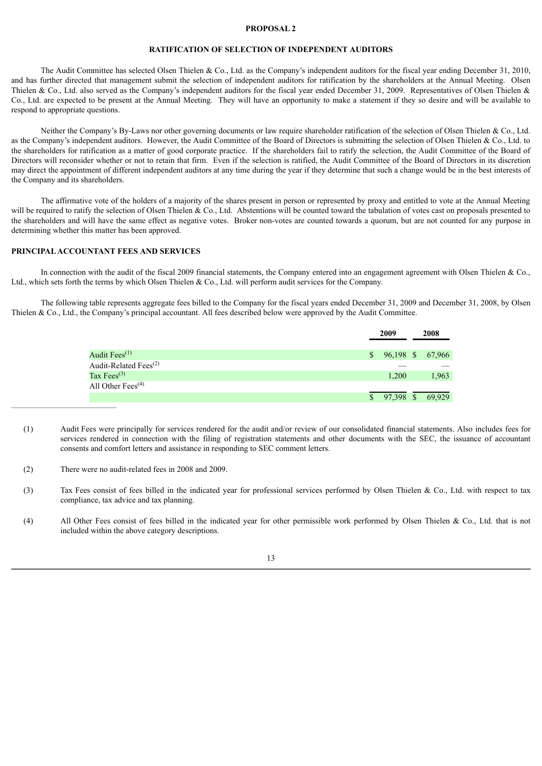#### **PROPOSAL 2**

# **RATIFICATION OF SELECTION OF INDEPENDENT AUDITORS**

The Audit Committee has selected Olsen Thielen & Co., Ltd. as the Company's independent auditors for the fiscal year ending December 31, 2010, and has further directed that management submit the selection of independent auditors for ratification by the shareholders at the Annual Meeting. Olsen Thielen & Co., Ltd. also served as the Company's independent auditors for the fiscal year ended December 31, 2009. Representatives of Olsen Thielen & Co., Ltd. are expected to be present at the Annual Meeting. They will have an opportunity to make a statement if they so desire and will be available to respond to appropriate questions.

Neither the Company's By-Laws nor other governing documents or law require shareholder ratification of the selection of Olsen Thielen & Co., Ltd. as the Company's independent auditors. However, the Audit Committee of the Board of Directors is submitting the selection of Olsen Thielen & Co., Ltd. to the shareholders for ratification as a matter of good corporate practice. If the shareholders fail to ratify the selection, the Audit Committee of the Board of Directors will reconsider whether or not to retain that firm. Even if the selection is ratified, the Audit Committee of the Board of Directors in its discretion may direct the appointment of different independent auditors at any time during the year if they determine that such a change would be in the best interests of the Company and its shareholders.

The affirmative vote of the holders of a majority of the shares present in person or represented by proxy and entitled to vote at the Annual Meeting will be required to ratify the selection of Olsen Thielen & Co., Ltd. Abstentions will be counted toward the tabulation of votes cast on proposals presented to the shareholders and will have the same effect as negative votes. Broker non-votes are counted towards a quorum, but are not counted for any purpose in determining whether this matter has been approved.

### **PRINCIPALACCOUNTANT FEES AND SERVICES**

In connection with the audit of the fiscal 2009 financial statements, the Company entered into an engagement agreement with Olsen Thielen & Co., Ltd., which sets forth the terms by which Olsen Thielen & Co., Ltd. will perform audit services for the Company.

The following table represents aggregate fees billed to the Company for the fiscal years ended December 31, 2009 and December 31, 2008, by Olsen Thielen & Co., Ltd., the Company's principal accountant. All fees described below were approved by the Audit Committee.

|                                                | 2009      | 2008             |
|------------------------------------------------|-----------|------------------|
| Audit Fees $^{(1)}$                            | S.        | 96,198 \$ 67,966 |
| Audit-Related Fees <sup><math>(2)</math></sup> |           |                  |
| Tax Fees $^{(3)}$                              | 1,200     | 1,963            |
| All Other Fees <sup><math>(4)</math></sup>     |           |                  |
|                                                | 97,398 \$ | 69,929           |

- (1) Audit Fees were principally for services rendered for the audit and/or review of our consolidated financial statements. Also includes fees for services rendered in connection with the filing of registration statements and other documents with the SEC, the issuance of accountant consents and comfort letters and assistance in responding to SEC comment letters.
- (2) There were no audit-related fees in 2008 and 2009.
- (3) Tax Fees consist of fees billed in the indicated year for professional services performed by Olsen Thielen & Co., Ltd. with respect to tax compliance, tax advice and tax planning.
- (4) All Other Fees consist of fees billed in the indicated year for other permissible work performed by Olsen Thielen & Co., Ltd. that is not included within the above category descriptions.

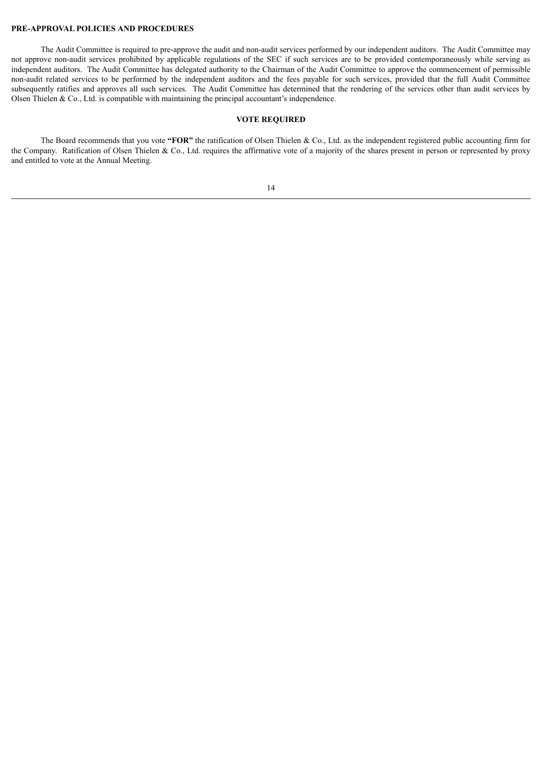# **PRE-APPROVAL POLICIES AND PROCEDURES**

The Audit Committee is required to pre-approve the audit and non-audit services performed by our independent auditors. The Audit Committee may not approve non-audit services prohibited by applicable regulations of the SEC if such services are to be provided contemporaneously while serving as independent auditors. The Audit Committee has delegated authority to the Chairman of the Audit Committee to approve the commencement of permissible non-audit related services to be performed by the independent auditors and the fees payable for such services, provided that the full Audit Committee subsequently ratifies and approves all such services. The Audit Committee has determined that the rendering of the services other than audit services by Olsen Thielen  $\&$  Co., Ltd. is compatible with maintaining the principal accountant's independence.

### **VOTE REQUIRED**

The Board recommends that you vote **"FOR"** the ratification of Olsen Thielen & Co., Ltd. as the independent registered public accounting firm for the Company. Ratification of Olsen Thielen & Co., Ltd. requires the affirmative vote of a majority of the shares present in person or represented by proxy and entitled to vote at the Annual Meeting.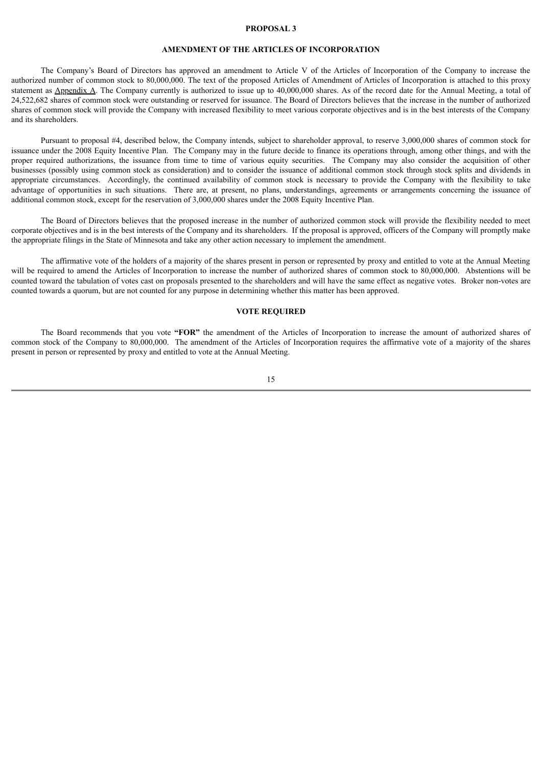#### **PROPOSAL 3**

# **AMENDMENT OF THE ARTICLES OF INCORPORATION**

The Company's Board of Directors has approved an amendment to Article V of the Articles of Incorporation of the Company to increase the authorized number of common stock to 80,000,000. The text of the proposed Articles of Amendment of Articles of Incorporation is attached to this proxy statement as Appendix A. The Company currently is authorized to issue up to 40,000,000 shares. As of the record date for the Annual Meeting, a total of 24,522,682 shares of common stock were outstanding or reserved for issuance. The Board of Directors believes that the increase in the number of authorized shares of common stock will provide the Company with increased flexibility to meet various corporate objectives and is in the best interests of the Company and its shareholders.

Pursuant to proposal #4, described below, the Company intends, subject to shareholder approval, to reserve 3,000,000 shares of common stock for issuance under the 2008 Equity Incentive Plan. The Company may in the future decide to finance its operations through, among other things, and with the proper required authorizations, the issuance from time to time of various equity securities. The Company may also consider the acquisition of other businesses (possibly using common stock as consideration) and to consider the issuance of additional common stock through stock splits and dividends in appropriate circumstances. Accordingly, the continued availability of common stock is necessary to provide the Company with the flexibility to take advantage of opportunities in such situations. There are, at present, no plans, understandings, agreements or arrangements concerning the issuance of additional common stock, except for the reservation of 3,000,000 shares under the 2008 Equity Incentive Plan.

The Board of Directors believes that the proposed increase in the number of authorized common stock will provide the flexibility needed to meet corporate objectives and is in the best interests of the Company and its shareholders. If the proposal is approved, officers of the Company will promptly make the appropriate filings in the State of Minnesota and take any other action necessary to implement the amendment.

The affirmative vote of the holders of a majority of the shares present in person or represented by proxy and entitled to vote at the Annual Meeting will be required to amend the Articles of Incorporation to increase the number of authorized shares of common stock to 80,000,000. Abstentions will be counted toward the tabulation of votes cast on proposals presented to the shareholders and will have the same effect as negative votes. Broker non-votes are counted towards a quorum, but are not counted for any purpose in determining whether this matter has been approved.

### **VOTE REQUIRED**

The Board recommends that you vote **"FOR"** the amendment of the Articles of Incorporation to increase the amount of authorized shares of common stock of the Company to 80,000,000. The amendment of the Articles of Incorporation requires the affirmative vote of a majority of the shares present in person or represented by proxy and entitled to vote at the Annual Meeting.

15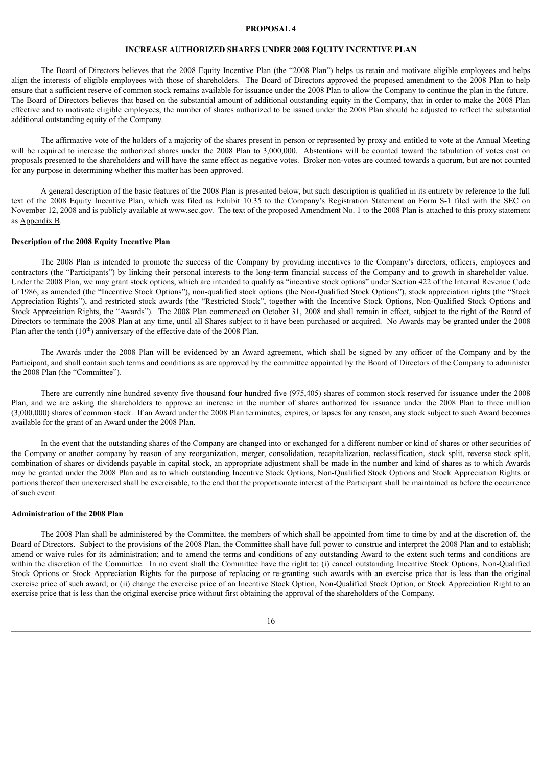#### **PROPOSAL 4**

# **INCREASE AUTHORIZED SHARES UNDER 2008 EQUITY INCENTIVE PLAN**

The Board of Directors believes that the 2008 Equity Incentive Plan (the "2008 Plan") helps us retain and motivate eligible employees and helps align the interests of eligible employees with those of shareholders. The Board of Directors approved the proposed amendment to the 2008 Plan to help ensure that a sufficient reserve of common stock remains available for issuance under the 2008 Plan to allow the Company to continue the plan in the future. The Board of Directors believes that based on the substantial amount of additional outstanding equity in the Company, that in order to make the 2008 Plan effective and to motivate eligible employees, the number of shares authorized to be issued under the 2008 Plan should be adjusted to reflect the substantial additional outstanding equity of the Company.

The affirmative vote of the holders of a majority of the shares present in person or represented by proxy and entitled to vote at the Annual Meeting will be required to increase the authorized shares under the 2008 Plan to 3,000,000. Abstentions will be counted toward the tabulation of votes cast on proposals presented to the shareholders and will have the same effect as negative votes. Broker non-votes are counted towards a quorum, but are not counted for any purpose in determining whether this matter has been approved.

A general description of the basic features of the 2008 Plan is presented below, but such description is qualified in its entirety by reference to the full text of the 2008 Equity Incentive Plan, which was filed as Exhibit 10.35 to the Company's Registration Statement on Form S-1 filed with the SEC on November 12, 2008 and is publicly available at www.sec.gov. The text of the proposed Amendment No. 1 to the 2008 Plan is attached to this proxy statement as Appendix B.

#### **Description of the 2008 Equity Incentive Plan**

The 2008 Plan is intended to promote the success of the Company by providing incentives to the Company's directors, officers, employees and contractors (the "Participants") by linking their personal interests to the long-term financial success of the Company and to growth in shareholder value. Under the 2008 Plan, we may grant stock options, which are intended to qualify as "incentive stock options" under Section 422 of the Internal Revenue Code of 1986, as amended (the "Incentive Stock Options"), non-qualified stock options (the Non-Qualified Stock Options"), stock appreciation rights (the "Stock Appreciation Rights"), and restricted stock awards (the "Restricted Stock", together with the Incentive Stock Options, Non-Qualified Stock Options and Stock Appreciation Rights, the "Awards"). The 2008 Plan commenced on October 31, 2008 and shall remain in effect, subject to the right of the Board of Directors to terminate the 2008 Plan at any time, until all Shares subject to it have been purchased or acquired. No Awards may be granted under the 2008 Plan after the tenth  $(10<sup>th</sup>)$  anniversary of the effective date of the 2008 Plan.

The Awards under the 2008 Plan will be evidenced by an Award agreement, which shall be signed by any officer of the Company and by the Participant, and shall contain such terms and conditions as are approved by the committee appointed by the Board of Directors of the Company to administer the 2008 Plan (the "Committee").

There are currently nine hundred seventy five thousand four hundred five (975,405) shares of common stock reserved for issuance under the 2008 Plan, and we are asking the shareholders to approve an increase in the number of shares authorized for issuance under the 2008 Plan to three million (3,000,000) shares of common stock. If an Award under the 2008 Plan terminates, expires, or lapses for any reason, any stock subject to such Award becomes available for the grant of an Award under the 2008 Plan.

In the event that the outstanding shares of the Company are changed into or exchanged for a different number or kind of shares or other securities of the Company or another company by reason of any reorganization, merger, consolidation, recapitalization, reclassification, stock split, reverse stock split, combination of shares or dividends payable in capital stock, an appropriate adjustment shall be made in the number and kind of shares as to which Awards may be granted under the 2008 Plan and as to which outstanding Incentive Stock Options, Non-Qualified Stock Options and Stock Appreciation Rights or portions thereof then unexercised shall be exercisable, to the end that the proportionate interest of the Participant shall be maintained as before the occurrence of such event.

# **Administration of the 2008 Plan**

The 2008 Plan shall be administered by the Committee, the members of which shall be appointed from time to time by and at the discretion of, the Board of Directors. Subject to the provisions of the 2008 Plan, the Committee shall have full power to construe and interpret the 2008 Plan and to establish; amend or waive rules for its administration; and to amend the terms and conditions of any outstanding Award to the extent such terms and conditions are within the discretion of the Committee. In no event shall the Committee have the right to: (i) cancel outstanding Incentive Stock Options, Non-Qualified Stock Options or Stock Appreciation Rights for the purpose of replacing or re-granting such awards with an exercise price that is less than the original exercise price of such award; or (ii) change the exercise price of an Incentive Stock Option, Non-Qualified Stock Option, or Stock Appreciation Right to an exercise price that is less than the original exercise price without first obtaining the approval of the shareholders of the Company.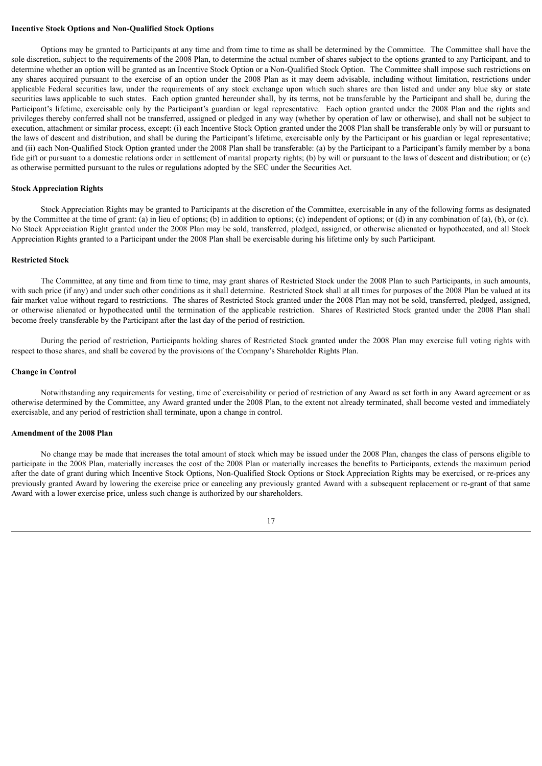### **Incentive Stock Options and Non-Qualified Stock Options**

Options may be granted to Participants at any time and from time to time as shall be determined by the Committee. The Committee shall have the sole discretion, subject to the requirements of the 2008 Plan, to determine the actual number of shares subject to the options granted to any Participant, and to determine whether an option will be granted as an Incentive Stock Option or a Non-Qualified Stock Option. The Committee shall impose such restrictions on any shares acquired pursuant to the exercise of an option under the 2008 Plan as it may deem advisable, including without limitation, restrictions under applicable Federal securities law, under the requirements of any stock exchange upon which such shares are then listed and under any blue sky or state securities laws applicable to such states. Each option granted hereunder shall, by its terms, not be transferable by the Participant and shall be, during the Participant's lifetime, exercisable only by the Participant's guardian or legal representative. Each option granted under the 2008 Plan and the rights and privileges thereby conferred shall not be transferred, assigned or pledged in any way (whether by operation of law or otherwise), and shall not be subject to execution, attachment or similar process, except: (i) each Incentive Stock Option granted under the 2008 Plan shall be transferable only by will or pursuant to the laws of descent and distribution, and shall be during the Participant's lifetime, exercisable only by the Participant or his guardian or legal representative; and (ii) each Non-Qualified Stock Option granted under the 2008 Plan shall be transferable: (a) by the Participant to a Participant's family member by a bona fide gift or pursuant to a domestic relations order in settlement of marital property rights; (b) by will or pursuant to the laws of descent and distribution; or (c) as otherwise permitted pursuant to the rules or regulations adopted by the SEC under the Securities Act.

#### **Stock Appreciation Rights**

Stock Appreciation Rights may be granted to Participants at the discretion of the Committee, exercisable in any of the following forms as designated by the Committee at the time of grant: (a) in lieu of options; (b) in addition to options; (c) independent of options; or (d) in any combination of (a), (b), or (c). No Stock Appreciation Right granted under the 2008 Plan may be sold, transferred, pledged, assigned, or otherwise alienated or hypothecated, and all Stock Appreciation Rights granted to a Participant under the 2008 Plan shall be exercisable during his lifetime only by such Participant.

#### **Restricted Stock**

The Committee, at any time and from time to time, may grant shares of Restricted Stock under the 2008 Plan to such Participants, in such amounts, with such price (if any) and under such other conditions as it shall determine. Restricted Stock shall at all times for purposes of the 2008 Plan be valued at its fair market value without regard to restrictions. The shares of Restricted Stock granted under the 2008 Plan may not be sold, transferred, pledged, assigned, or otherwise alienated or hypothecated until the termination of the applicable restriction. Shares of Restricted Stock granted under the 2008 Plan shall become freely transferable by the Participant after the last day of the period of restriction.

During the period of restriction, Participants holding shares of Restricted Stock granted under the 2008 Plan may exercise full voting rights with respect to those shares, and shall be covered by the provisions of the Company's Shareholder Rights Plan.

### **Change in Control**

Notwithstanding any requirements for vesting, time of exercisability or period of restriction of any Award as set forth in any Award agreement or as otherwise determined by the Committee, any Award granted under the 2008 Plan, to the extent not already terminated, shall become vested and immediately exercisable, and any period of restriction shall terminate, upon a change in control.

#### **Amendment of the 2008 Plan**

No change may be made that increases the total amount of stock which may be issued under the 2008 Plan, changes the class of persons eligible to participate in the 2008 Plan, materially increases the cost of the 2008 Plan or materially increases the benefits to Participants, extends the maximum period after the date of grant during which Incentive Stock Options, Non-Qualified Stock Options or Stock Appreciation Rights may be exercised, or re-prices any previously granted Award by lowering the exercise price or canceling any previously granted Award with a subsequent replacement or re-grant of that same Award with a lower exercise price, unless such change is authorized by our shareholders.

17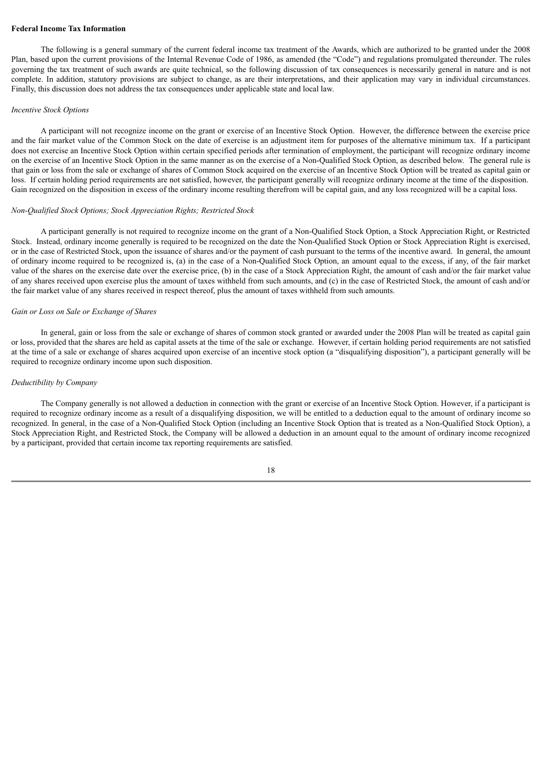### **Federal Income Tax Information**

The following is a general summary of the current federal income tax treatment of the Awards, which are authorized to be granted under the 2008 Plan, based upon the current provisions of the Internal Revenue Code of 1986, as amended (the "Code") and regulations promulgated thereunder. The rules governing the tax treatment of such awards are quite technical, so the following discussion of tax consequences is necessarily general in nature and is not complete. In addition, statutory provisions are subject to change, as are their interpretations, and their application may vary in individual circumstances. Finally, this discussion does not address the tax consequences under applicable state and local law.

#### *Incentive Stock Options*

A participant will not recognize income on the grant or exercise of an Incentive Stock Option. However, the difference between the exercise price and the fair market value of the Common Stock on the date of exercise is an adjustment item for purposes of the alternative minimum tax. If a participant does not exercise an Incentive Stock Option within certain specified periods after termination of employment, the participant will recognize ordinary income on the exercise of an Incentive Stock Option in the same manner as on the exercise of a Non-Qualified Stock Option, as described below. The general rule is that gain or loss from the sale or exchange of shares of Common Stock acquired on the exercise of an Incentive Stock Option will be treated as capital gain or loss. If certain holding period requirements are not satisfied, however, the participant generally will recognize ordinary income at the time of the disposition. Gain recognized on the disposition in excess of the ordinary income resulting therefrom will be capital gain, and any loss recognized will be a capital loss.

#### *Non-Qualified Stock Options; Stock Appreciation Rights; Restricted Stock*

A participant generally is not required to recognize income on the grant of a Non-Qualified Stock Option, a Stock Appreciation Right, or Restricted Stock. Instead, ordinary income generally is required to be recognized on the date the Non-Qualified Stock Option or Stock Appreciation Right is exercised, or in the case of Restricted Stock, upon the issuance of shares and/or the payment of cash pursuant to the terms of the incentive award. In general, the amount of ordinary income required to be recognized is, (a) in the case of a Non-Qualified Stock Option, an amount equal to the excess, if any, of the fair market value of the shares on the exercise date over the exercise price, (b) in the case of a Stock Appreciation Right, the amount of cash and/or the fair market value of any shares received upon exercise plus the amount of taxes withheld from such amounts, and (c) in the case of Restricted Stock, the amount of cash and/or the fair market value of any shares received in respect thereof, plus the amount of taxes withheld from such amounts.

#### *Gain or Loss on Sale or Exchange of Shares*

In general, gain or loss from the sale or exchange of shares of common stock granted or awarded under the 2008 Plan will be treated as capital gain or loss, provided that the shares are held as capital assets at the time of the sale or exchange. However, if certain holding period requirements are not satisfied at the time of a sale or exchange of shares acquired upon exercise of an incentive stock option (a "disqualifying disposition"), a participant generally will be required to recognize ordinary income upon such disposition.

### *Deductibility by Company*

The Company generally is not allowed a deduction in connection with the grant or exercise of an Incentive Stock Option. However, if a participant is required to recognize ordinary income as a result of a disqualifying disposition, we will be entitled to a deduction equal to the amount of ordinary income so recognized. In general, in the case of a Non-Qualified Stock Option (including an Incentive Stock Option that is treated as a Non-Qualified Stock Option), a Stock Appreciation Right, and Restricted Stock, the Company will be allowed a deduction in an amount equal to the amount of ordinary income recognized by a participant, provided that certain income tax reporting requirements are satisfied.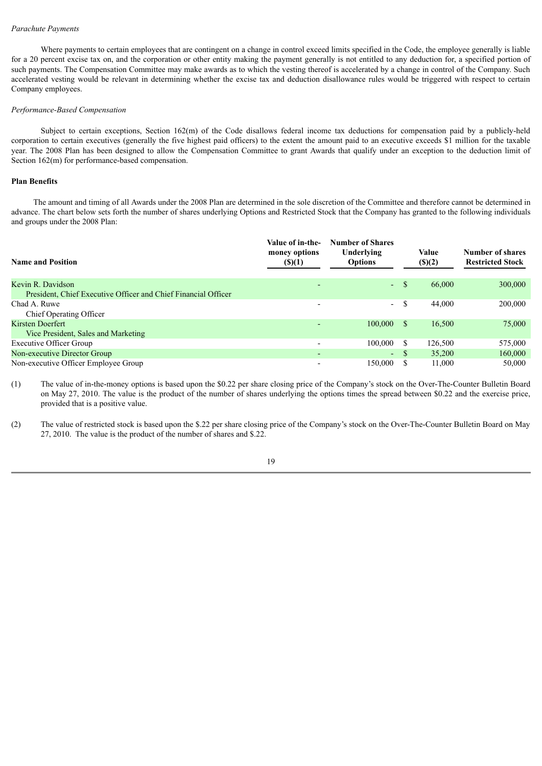### *Parachute Payments*

Where payments to certain employees that are contingent on a change in control exceed limits specified in the Code, the employee generally is liable for a 20 percent excise tax on, and the corporation or other entity making the payment generally is not entitled to any deduction for, a specified portion of such payments. The Compensation Committee may make awards as to which the vesting thereof is accelerated by a change in control of the Company. Such accelerated vesting would be relevant in determining whether the excise tax and deduction disallowance rules would be triggered with respect to certain Company employees.

#### *Performance-Based Compensation*

Subject to certain exceptions, Section 162(m) of the Code disallows federal income tax deductions for compensation paid by a publicly-held corporation to certain executives (generally the five highest paid officers) to the extent the amount paid to an executive exceeds \$1 million for the taxable year. The 2008 Plan has been designed to allow the Compensation Committee to grant Awards that qualify under an exception to the deduction limit of Section  $162(m)$  for performance-based compensation.

#### **Plan Benefits**

The amount and timing of all Awards under the 2008 Plan are determined in the sole discretion of the Committee and therefore cannot be determined in advance. The chart below sets forth the number of shares underlying Options and Restricted Stock that the Company has granted to the following individuals and groups under the 2008 Plan:

| <b>Name and Position</b>                                       | Value of in-the-<br>money options<br>$($ (\$)(1) | <b>Number of Shares</b><br>Underlying<br><b>Options</b> |              | Value<br>$($ ) $(2)$ | Number of shares<br><b>Restricted Stock</b> |  |  |
|----------------------------------------------------------------|--------------------------------------------------|---------------------------------------------------------|--------------|----------------------|---------------------------------------------|--|--|
| Kevin R. Davidson                                              | $\overline{\phantom{0}}$                         | Ψ.                                                      | <sup>S</sup> | 66,000               | 300,000                                     |  |  |
| President, Chief Executive Officer and Chief Financial Officer |                                                  |                                                         |              |                      |                                             |  |  |
| Chad A. Ruwe                                                   | $\overline{\phantom{0}}$                         | $\blacksquare$                                          | S            | 44,000               | 200,000                                     |  |  |
| Chief Operating Officer                                        |                                                  |                                                         |              |                      |                                             |  |  |
| Kirsten Doerfert                                               | $\overline{\phantom{0}}$                         | 100,000                                                 | -S           | 16,500               | 75,000                                      |  |  |
| Vice President, Sales and Marketing                            |                                                  |                                                         |              |                      |                                             |  |  |
| <b>Executive Officer Group</b>                                 | $\overline{\phantom{a}}$                         | 100,000                                                 |              | 126,500              | 575,000                                     |  |  |
| Non-executive Director Group                                   | $\overline{\phantom{0}}$                         | $\sim$                                                  |              | 35,200               | 160,000                                     |  |  |
| Non-executive Officer Employee Group                           |                                                  | 150.000                                                 |              | 11.000               | 50,000                                      |  |  |

(1) The value of in-the-money options is based upon the \$0.22 per share closing price of the Company's stock on the Over-The-Counter Bulletin Board on May 27, 2010. The value is the product of the number of shares underlying the options times the spread between \$0.22 and the exercise price, provided that is a positive value.

(2) The value of restricted stock is based upon the \$.22 per share closing price of the Company's stock on the Over-The-Counter Bulletin Board on May 27, 2010. The value is the product of the number of shares and \$.22.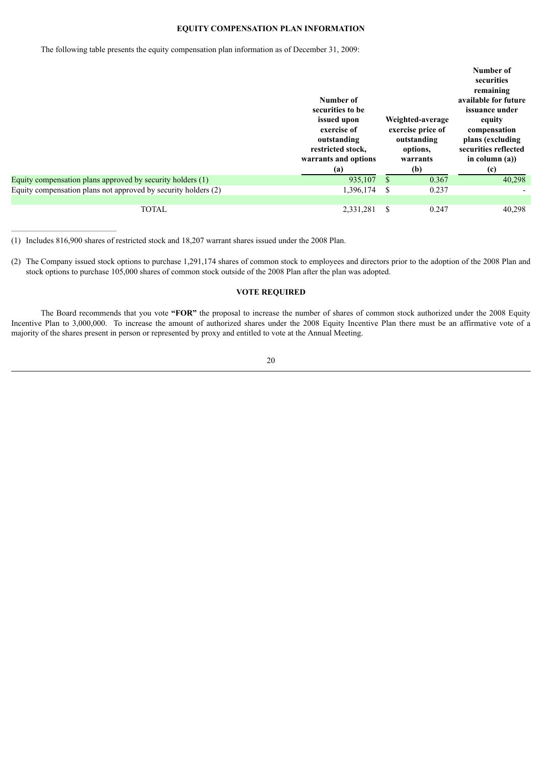# **EQUITY COMPENSATION PLAN INFORMATION**

The following table presents the equity compensation plan information as of December 31, 2009:

|                                                                | Number of<br>securities to be<br>issued upon<br>exercise of<br>outstanding<br>restricted stock,<br>warrants and options<br>(a) |    | Weighted-average<br>exercise price of<br>outstanding<br>options.<br>warrants<br>(b) | Number of<br>securities<br>remaining<br>available for future<br>issuance under<br>equity<br>compensation<br>plans (excluding<br>securities reflected<br>in column $(a)$ )<br>(c) |
|----------------------------------------------------------------|--------------------------------------------------------------------------------------------------------------------------------|----|-------------------------------------------------------------------------------------|----------------------------------------------------------------------------------------------------------------------------------------------------------------------------------|
| Equity compensation plans approved by security holders (1)     | 935,107                                                                                                                        | \$ | 0.367                                                                               | 40,298                                                                                                                                                                           |
| Equity compensation plans not approved by security holders (2) | 1,396,174                                                                                                                      | -S | 0.237                                                                               |                                                                                                                                                                                  |
|                                                                |                                                                                                                                |    |                                                                                     |                                                                                                                                                                                  |
| <b>TOTAL</b>                                                   | 2,331,281                                                                                                                      | \$ | 0.247                                                                               | 40,298                                                                                                                                                                           |

(1) Includes 816,900 shares of restricted stock and 18,207 warrant shares issued under the 2008 Plan.

(2) The Company issued stock options to purchase 1,291,174 shares of common stock to employees and directors prior to the adoption of the 2008 Plan and stock options to purchase 105,000 shares of common stock outside of the 2008 Plan after the plan was adopted.

# **VOTE REQUIRED**

The Board recommends that you vote **"FOR"** the proposal to increase the number of shares of common stock authorized under the 2008 Equity Incentive Plan to 3,000,000. To increase the amount of authorized shares under the 2008 Equity Incentive Plan there must be an affirmative vote of a majority of the shares present in person or represented by proxy and entitled to vote at the Annual Meeting.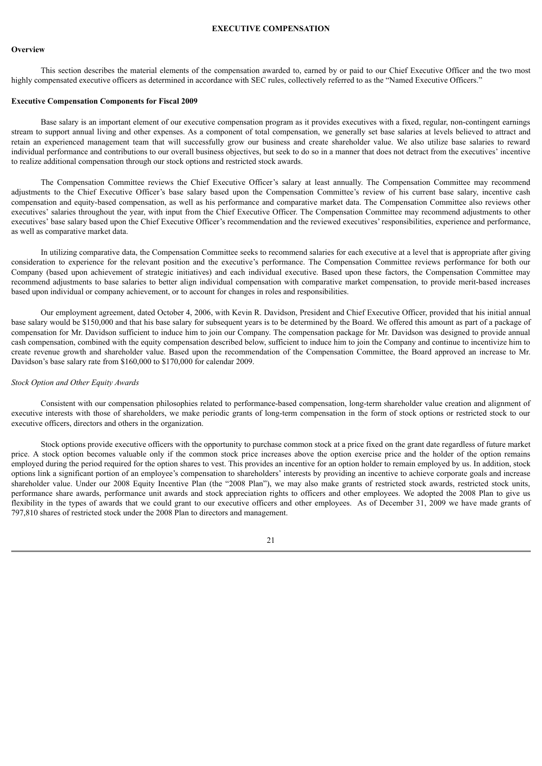#### **EXECUTIVE COMPENSATION**

### **Overview**

This section describes the material elements of the compensation awarded to, earned by or paid to our Chief Executive Officer and the two most highly compensated executive officers as determined in accordance with SEC rules, collectively referred to as the "Named Executive Officers."

#### **Executive Compensation Components for Fiscal 2009**

Base salary is an important element of our executive compensation program as it provides executives with a fixed, regular, non-contingent earnings stream to support annual living and other expenses. As a component of total compensation, we generally set base salaries at levels believed to attract and retain an experienced management team that will successfully grow our business and create shareholder value. We also utilize base salaries to reward individual performance and contributions to our overall business objectives, but seek to do so in a manner that does not detract from the executives' incentive to realize additional compensation through our stock options and restricted stock awards.

The Compensation Committee reviews the Chief Executive Officer's salary at least annually. The Compensation Committee may recommend adjustments to the Chief Executive Officer's base salary based upon the Compensation Committee's review of his current base salary, incentive cash compensation and equity-based compensation, as well as his performance and comparative market data. The Compensation Committee also reviews other executives' salaries throughout the year, with input from the Chief Executive Officer. The Compensation Committee may recommend adjustments to other executives' base salary based upon the Chief Executive Officer's recommendation and the reviewed executives' responsibilities, experience and performance, as well as comparative market data.

In utilizing comparative data, the Compensation Committee seeks to recommend salaries for each executive at a level that is appropriate after giving consideration to experience for the relevant position and the executive's performance. The Compensation Committee reviews performance for both our Company (based upon achievement of strategic initiatives) and each individual executive. Based upon these factors, the Compensation Committee may recommend adjustments to base salaries to better align individual compensation with comparative market compensation, to provide merit-based increases based upon individual or company achievement, or to account for changes in roles and responsibilities.

Our employment agreement, dated October 4, 2006, with Kevin R. Davidson, President and Chief Executive Officer, provided that his initial annual base salary would be \$150,000 and that his base salary for subsequent years is to be determined by the Board. We offered this amount as part of a package of compensation for Mr. Davidson sufficient to induce him to join our Company. The compensation package for Mr. Davidson was designed to provide annual cash compensation, combined with the equity compensation described below, sufficient to induce him to join the Company and continue to incentivize him to create revenue growth and shareholder value. Based upon the recommendation of the Compensation Committee, the Board approved an increase to Mr. Davidson's base salary rate from \$160,000 to \$170,000 for calendar 2009.

#### *Stock Option and Other Equity Awards*

Consistent with our compensation philosophies related to performance-based compensation, long-term shareholder value creation and alignment of executive interests with those of shareholders, we make periodic grants of long-term compensation in the form of stock options or restricted stock to our executive officers, directors and others in the organization.

Stock options provide executive officers with the opportunity to purchase common stock at a price fixed on the grant date regardless of future market price. A stock option becomes valuable only if the common stock price increases above the option exercise price and the holder of the option remains employed during the period required for the option shares to vest. This provides an incentive for an option holder to remain employed by us. In addition, stock options link a significant portion of an employee's compensation to shareholders' interests by providing an incentive to achieve corporate goals and increase shareholder value. Under our 2008 Equity Incentive Plan (the "2008 Plan"), we may also make grants of restricted stock awards, restricted stock units, performance share awards, performance unit awards and stock appreciation rights to officers and other employees. We adopted the 2008 Plan to give us flexibility in the types of awards that we could grant to our executive officers and other employees. As of December 31, 2009 we have made grants of 797,810 shares of restricted stock under the 2008 Plan to directors and management.

#### 21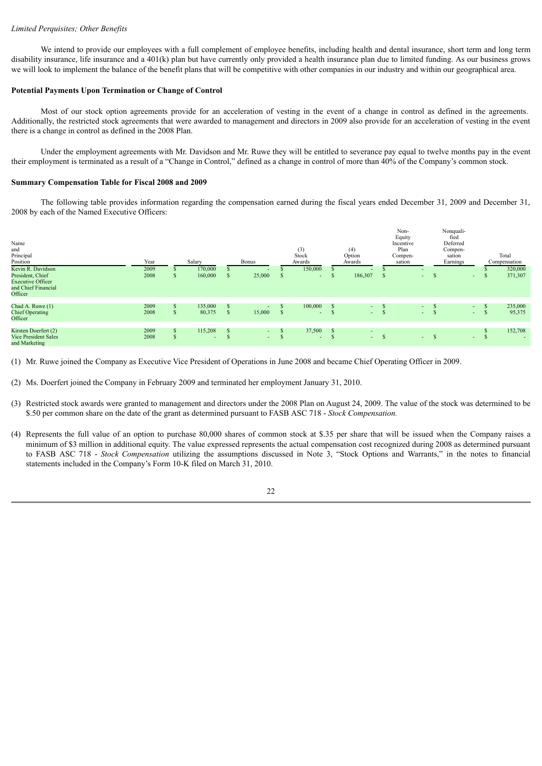# *Limited Perquisites; Other Benefits*

We intend to provide our employees with a full complement of employee benefits, including health and dental insurance, short term and long term disability insurance, life insurance and a 401(k) plan but have currently only provided a health insurance plan due to limited funding. As our business grows we will look to implement the balance of the benefit plans that will be competitive with other companies in our industry and within our geographical area.

# **Potential Payments Upon Termination or Change of Control**

Most of our stock option agreements provide for an acceleration of vesting in the event of a change in control as defined in the agreements. Additionally, the restricted stock agreements that were awarded to management and directors in 2009 also provide for an acceleration of vesting in the event there is a change in control as defined in the 2008 Plan.

Under the employment agreements with Mr. Davidson and Mr. Ruwe they will be entitled to severance pay equal to twelve months pay in the event their employment is terminated as a result of a "Change in Control," defined as a change in control of more than 40% of the Company's common stock.

# **Summary Compensation Table for Fiscal 2008 and 2009**

The following table provides information regarding the compensation earned during the fiscal years ended December 31, 2009 and December 31, 2008 by each of the Named Executive Officers:

| Name<br>and<br>Principal<br>Position<br>Kevin R. Davidson<br>President, Chief<br><b>Executive Officer</b><br>and Chief Financial<br>Officer | Year<br>2009<br>2008 |   | Salary<br>170,000<br>160,000        | ъ | <b>Bonus</b><br>25,000 |           | (3)<br>Stock<br>Awards<br>150,000<br>$\sim$ | (4)<br>Option<br>Awards<br>186,307 |      | Non-<br>Equity<br>Incentive<br>Plan<br>Compen-<br>sation<br>۰<br>$\sim$ | - 3      | Nonquali-<br>fied<br>Deferred<br>Compen-<br>sation<br>Earnings<br>$\sim$ | ъ            | Total<br>Compensation<br>320,000<br>371,307 |
|---------------------------------------------------------------------------------------------------------------------------------------------|----------------------|---|-------------------------------------|---|------------------------|-----------|---------------------------------------------|------------------------------------|------|-------------------------------------------------------------------------|----------|--------------------------------------------------------------------------|--------------|---------------------------------------------|
| Chad A. Ruwe (1)<br><b>Chief Operating</b><br>Officer                                                                                       | 2009<br>2008         |   | 135,000<br>80,375                   | S | ٠<br>15,000            | - 39      | 100,000<br>$\sim$                           | $\sim$<br>$\sim$ .                 |      | $\sim$<br>$\sim$                                                        | J.<br>D. | $\sim$ $-$<br>$\sim$ 10 $\pm$                                            | ъ            | 235,000<br>95,375                           |
| Kirsten Doerfert (2)<br><b>Vice President Sales</b><br>and Marketing                                                                        | 2009<br>2008         | ъ | 115,208<br>$\overline{\phantom{a}}$ | S | $\sim$<br>$\sim$       | ъ<br>- 39 | 37,500<br>$\sim$                            | $\sim$                             | $-5$ | $\sim$                                                                  | -S       | $\sim$ 10 $\,$                                                           | <sup>3</sup> | 152,708                                     |

(1) Mr. Ruwe joined the Company as Executive Vice President of Operations in June 2008 and became Chief Operating Officer in 2009.

(2) Ms. Doerfert joined the Company in February 2009 and terminated her employment January 31, 2010.

- (3) Restricted stock awards were granted to management and directors under the 2008 Plan on August 24, 2009. The value of the stock was determined to be \$.50 per common share on the date of the grant as determined pursuant to FASB ASC 718 - *Stock Compensation.*
- (4) Represents the full value of an option to purchase 80,000 shares of common stock at \$.35 per share that will be issued when the Company raises a minimum of \$3 million in additional equity. The value expressed represents the actual compensation cost recognized during 2008 as determined pursuant to FASB ASC 718 - *Stock Compensation* utilizing the assumptions discussed in Note 3, "Stock Options and Warrants," in the notes to financial statements included in the Company's Form 10-K filed on March 31, 2010.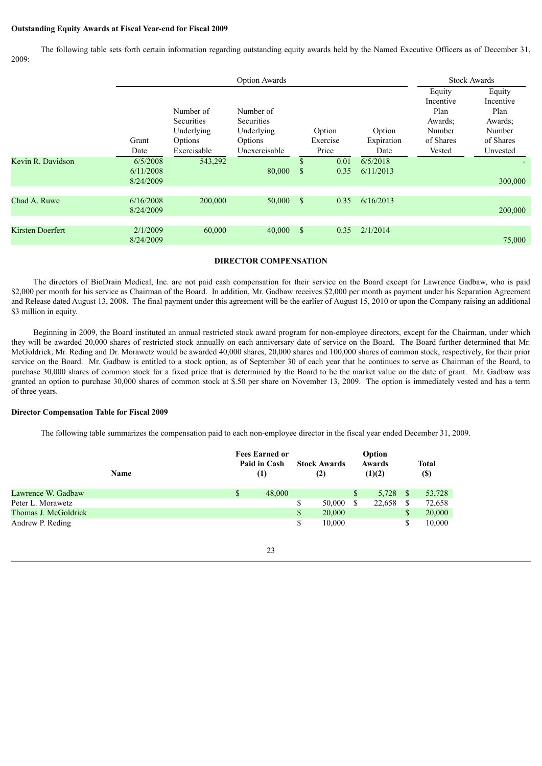### **Outstanding Equity Awards at Fiscal Year-end for Fiscal 2009**

The following table sets forth certain information regarding outstanding equity awards held by the Named Executive Officers as of December 31, 2009:

|                         |                                    |                                                         | <b>Option Awards</b>                                    |                    |                    |                       |                                                               | <b>Stock Awards</b>                                           |
|-------------------------|------------------------------------|---------------------------------------------------------|---------------------------------------------------------|--------------------|--------------------|-----------------------|---------------------------------------------------------------|---------------------------------------------------------------|
|                         | Grant                              | Number of<br><b>Securities</b><br>Underlying<br>Options | Number of<br><b>Securities</b><br>Underlying<br>Options |                    | Option<br>Exercise | Option<br>Expiration  | Equity<br>Incentive<br>Plan<br>Awards:<br>Number<br>of Shares | Equity<br>Incentive<br>Plan<br>Awards:<br>Number<br>of Shares |
|                         | Date                               | Exercisable                                             | Unexercisable                                           |                    | Price              | Date                  | Vested                                                        | Unvested                                                      |
| Kevin R. Davidson       | 6/5/2008<br>6/11/2008<br>8/24/2009 | 543,292                                                 | 80,000                                                  | \$<br>$\mathbb{S}$ | 0.01<br>0.35       | 6/5/2018<br>6/11/2013 |                                                               | 300,000                                                       |
|                         |                                    |                                                         |                                                         |                    |                    |                       |                                                               |                                                               |
| Chad A. Ruwe            | 6/16/2008<br>8/24/2009             | 200,000                                                 | $50,000$ \$                                             |                    | 0.35               | 6/16/2013             |                                                               | 200,000                                                       |
|                         |                                    |                                                         |                                                         |                    |                    |                       |                                                               |                                                               |
| <b>Kirsten Doerfert</b> | 2/1/2009<br>8/24/2009              | 60,000                                                  | 40,000                                                  | <sup>S</sup>       | 0.35               | 2/1/2014              |                                                               | 75,000                                                        |

### **DIRECTOR COMPENSATION**

The directors of BioDrain Medical, Inc. are not paid cash compensation for their service on the Board except for Lawrence Gadbaw, who is paid \$2,000 per month for his service as Chairman of the Board. In addition, Mr. Gadbaw receives \$2,000 per month as payment under his Separation Agreement and Release dated August 13, 2008. The final payment under this agreement will be the earlier of August 15, 2010 or upon the Company raising an additional \$3 million in equity.

Beginning in 2009, the Board instituted an annual restricted stock award program for non-employee directors, except for the Chairman, under which they will be awarded 20,000 shares of restricted stock annually on each anniversary date of service on the Board. The Board further determined that Mr. McGoldrick, Mr. Reding and Dr. Morawetz would be awarded 40,000 shares, 20,000 shares and 100,000 shares of common stock, respectively, for their prior service on the Board. Mr. Gadbaw is entitled to a stock option, as of September 30 of each year that he continues to serve as Chairman of the Board, to purchase 30,000 shares of common stock for a fixed price that is determined by the Board to be the market value on the date of grant. Mr. Gadbaw was granted an option to purchase 30,000 shares of common stock at \$.50 per share on November 13, 2009. The option is immediately vested and has a term of three years.

# **Director Compensation Table for Fiscal 2009**

The following table summarizes the compensation paid to each non-employee director in the fiscal year ended December 31, 2009.

|                      | <b>Name</b> | <b>Fees Earned or</b><br>Paid in Cash<br>(1) | <b>Stock Awards</b><br>(2) |               | Option<br>Awards<br>(1)(2) |     | Total<br><b>(\$)</b> |
|----------------------|-------------|----------------------------------------------|----------------------------|---------------|----------------------------|-----|----------------------|
| Lawrence W. Gadbaw   |             | \$<br>48,000                                 |                            | S             | 5,728                      | -S  | 53,728               |
| Peter L. Morawetz    |             |                                              | 50,000                     | <sup>\$</sup> | 22,658                     | \$. | 72,658               |
| Thomas J. McGoldrick |             |                                              | \$<br>20,000               |               |                            | \$  | 20,000               |
| Andrew P. Reding     |             |                                              | 10.000                     |               |                            | \$  | 10,000               |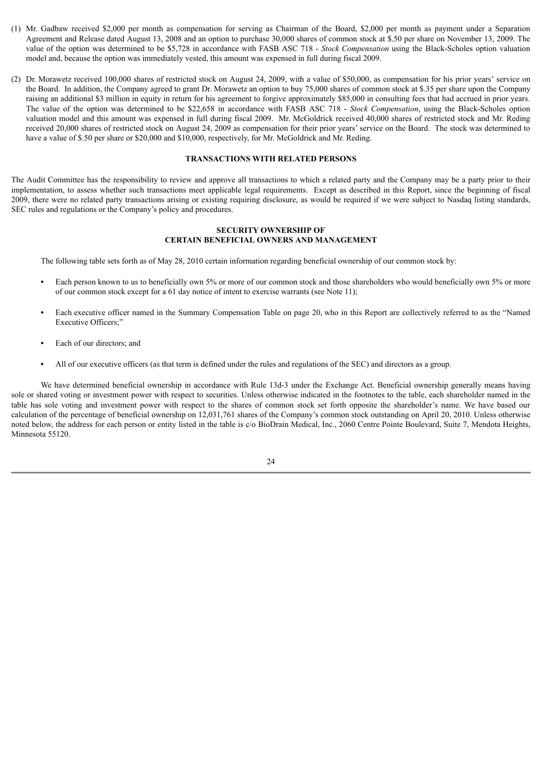- (1) Mr. Gadbaw received \$2,000 per month as compensation for serving as Chairman of the Board, \$2,000 per month as payment under a Separation Agreement and Release dated August 13, 2008 and an option to purchase 30,000 shares of common stock at \$.50 per share on November 13, 2009. The value of the option was determined to be \$5,728 in accordance with FASB ASC 718 - *Stock Compensation* using the Black-Scholes option valuation model and, because the option was immediately vested, this amount was expensed in full during fiscal 2009.
- (2) Dr. Morawetz received 100,000 shares of restricted stock on August 24, 2009, with a value of \$50,000, as compensation for his prior years' service on the Board. In addition, the Company agreed to grant Dr. Morawetz an option to buy 75,000 shares of common stock at \$.35 per share upon the Company raising an additional \$3 million in equity in return for his agreement to forgive approximately \$85,000 in consulting fees that had accrued in prior years. The value of the option was determined to be \$22,658 in accordance with FASB ASC 718 - *Stock Compensation*, using the Black-Scholes option valuation model and this amount was expensed in full during fiscal 2009. Mr. McGoldrick received 40,000 shares of restricted stock and Mr. Reding received 20,000 shares of restricted stock on August 24, 2009 as compensation for their prior years' service on the Board. The stock was determined to have a value of \$.50 per share or \$20,000 and \$10,000, respectively, for Mr. McGoldrick and Mr. Reding.

### **TRANSACTIONS WITH RELATED PERSONS**

The Audit Committee has the responsibility to review and approve all transactions to which a related party and the Company may be a party prior to their implementation, to assess whether such transactions meet applicable legal requirements. Except as described in this Report, since the beginning of fiscal 2009, there were no related party transactions arising or existing requiring disclosure, as would be required if we were subject to Nasdaq listing standards, SEC rules and regulations or the Company's policy and procedures.

### **SECURITY OWNERSHIP OF CERTAIN BENEFICIAL OWNERS AND MANAGEMENT**

The following table sets forth as of May 28, 2010 certain information regarding beneficial ownership of our common stock by:

- **•** Each person known to us to beneficially own 5% or more of our common stock and those shareholders who would beneficially own 5% or more of our common stock except for a 61 day notice of intent to exercise warrants (see Note 11);
- **•** Each executive officer named in the Summary Compensation Table on page 20, who in this Report are collectively referred to as the "Named Executive Officers;"
- **•** Each of our directors; and
- All of our executive officers (as that term is defined under the rules and regulations of the SEC) and directors as a group.

We have determined beneficial ownership in accordance with Rule 13d-3 under the Exchange Act. Beneficial ownership generally means having sole or shared voting or investment power with respect to securities. Unless otherwise indicated in the footnotes to the table, each shareholder named in the table has sole voting and investment power with respect to the shares of common stock set forth opposite the shareholder's name. We have based our calculation of the percentage of beneficial ownership on 12,031,761 shares of the Company's common stock outstanding on April 20, 2010. Unless otherwise noted below, the address for each person or entity listed in the table is c/o BioDrain Medical, Inc., 2060 Centre Pointe Boulevard, Suite 7, Mendota Heights, Minnesota 55120.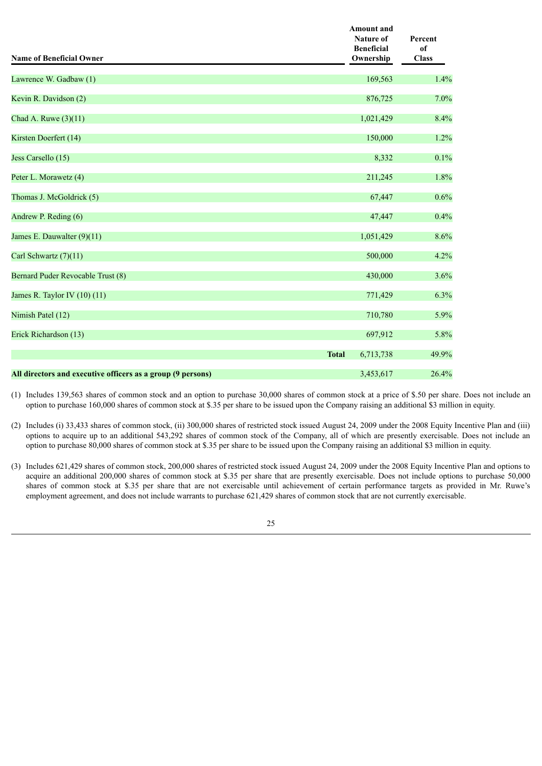| <b>Name of Beneficial Owner</b>                             | <b>Amount</b> and<br><b>Nature of</b><br><b>Beneficial</b><br>Ownership | Percent<br>of<br><b>Class</b> |
|-------------------------------------------------------------|-------------------------------------------------------------------------|-------------------------------|
| Lawrence W. Gadbaw (1)                                      | 169,563                                                                 | 1.4%                          |
| Kevin R. Davidson (2)                                       | 876,725                                                                 | 7.0%                          |
| Chad A. Ruwe (3)(11)                                        | 1,021,429                                                               | 8.4%                          |
| Kirsten Doerfert (14)                                       | 150,000                                                                 | 1.2%                          |
| Jess Carsello (15)                                          | 8,332                                                                   | 0.1%                          |
| Peter L. Morawetz (4)                                       | 211,245                                                                 | 1.8%                          |
| Thomas J. McGoldrick (5)                                    | 67,447                                                                  | 0.6%                          |
| Andrew P. Reding (6)                                        | 47,447                                                                  | 0.4%                          |
| James E. Dauwalter (9)(11)                                  | 1,051,429                                                               | 8.6%                          |
| Carl Schwartz (7)(11)                                       | 500,000                                                                 | 4.2%                          |
| Bernard Puder Revocable Trust (8)                           | 430,000                                                                 | 3.6%                          |
| James R. Taylor IV $(10)$ $(11)$                            | 771,429                                                                 | 6.3%                          |
| Nimish Patel (12)                                           | 710,780                                                                 | 5.9%                          |
| Erick Richardson (13)                                       | 697,912                                                                 | 5.8%                          |
|                                                             | <b>Total</b><br>6,713,738                                               | 49.9%                         |
| All directors and executive officers as a group (9 persons) | 3,453,617                                                               | 26.4%                         |

(1) Includes 139,563 shares of common stock and an option to purchase 30,000 shares of common stock at a price of \$.50 per share. Does not include an option to purchase 160,000 shares of common stock at \$.35 per share to be issued upon the Company raising an additional \$3 million in equity.

- (2) Includes (i) 33,433 shares of common stock, (ii) 300,000 shares of restricted stock issued August 24, 2009 under the 2008 Equity Incentive Plan and (iii) options to acquire up to an additional 543,292 shares of common stock of the Company, all of which are presently exercisable. Does not include an option to purchase 80,000 shares of common stock at \$.35 per share to be issued upon the Company raising an additional \$3 million in equity.
- (3) Includes 621,429 shares of common stock, 200,000 shares of restricted stock issued August 24, 2009 under the 2008 Equity Incentive Plan and options to acquire an additional 200,000 shares of common stock at \$.35 per share that are presently exercisable. Does not include options to purchase 50,000 shares of common stock at \$.35 per share that are not exercisable until achievement of certain performance targets as provided in Mr. Ruwe's employment agreement, and does not include warrants to purchase 621,429 shares of common stock that are not currently exercisable.

25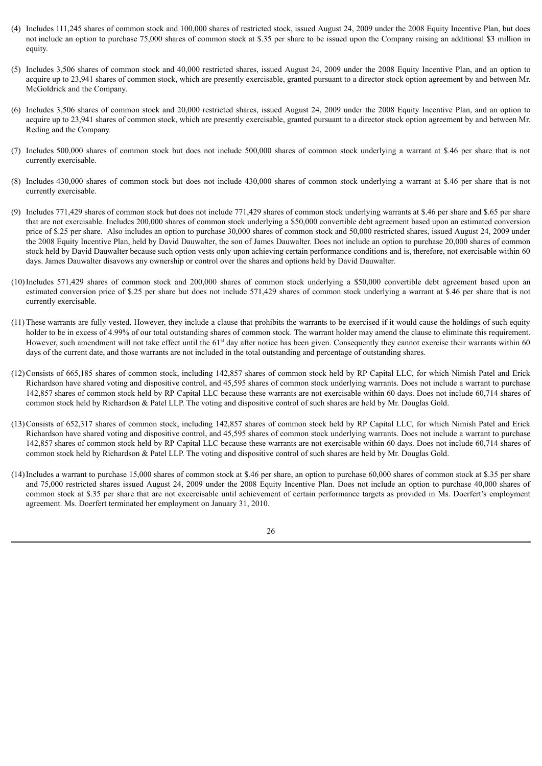- (4) Includes 111,245 shares of common stock and 100,000 shares of restricted stock, issued August 24, 2009 under the 2008 Equity Incentive Plan, but does not include an option to purchase 75,000 shares of common stock at \$.35 per share to be issued upon the Company raising an additional \$3 million in equity.
- (5) Includes 3,506 shares of common stock and 40,000 restricted shares, issued August 24, 2009 under the 2008 Equity Incentive Plan, and an option to acquire up to 23,941 shares of common stock, which are presently exercisable, granted pursuant to a director stock option agreement by and between Mr. McGoldrick and the Company.
- (6) Includes 3,506 shares of common stock and 20,000 restricted shares, issued August 24, 2009 under the 2008 Equity Incentive Plan, and an option to acquire up to 23,941 shares of common stock, which are presently exercisable, granted pursuant to a director stock option agreement by and between Mr. Reding and the Company.
- (7) Includes 500,000 shares of common stock but does not include 500,000 shares of common stock underlying a warrant at \$.46 per share that is not currently exercisable.
- (8) Includes 430,000 shares of common stock but does not include 430,000 shares of common stock underlying a warrant at \$.46 per share that is not currently exercisable.
- (9) Includes 771,429 shares of common stock but does not include 771,429 shares of common stock underlying warrants at \$.46 per share and \$.65 per share that are not exercisable. Includes 200,000 shares of common stock underlying a \$50,000 convertible debt agreement based upon an estimated conversion price of \$.25 per share. Also includes an option to purchase 30,000 shares of common stock and 50,000 restricted shares, issued August 24, 2009 under the 2008 Equity Incentive Plan, held by David Dauwalter, the son of James Dauwalter. Does not include an option to purchase 20,000 shares of common stock held by David Dauwalter because such option vests only upon achieving certain performance conditions and is, therefore, not exercisable within 60 days. James Dauwalter disavows any ownership or control over the shares and options held by David Dauwalter.
- (10)Includes 571,429 shares of common stock and 200,000 shares of common stock underlying a \$50,000 convertible debt agreement based upon an estimated conversion price of \$.25 per share but does not include 571,429 shares of common stock underlying a warrant at \$.46 per share that is not currently exercisable.
- (11) These warrants are fully vested. However, they include a clause that prohibits the warrants to be exercised if it would cause the holdings of such equity holder to be in excess of 4.99% of our total outstanding shares of common stock. The warrant holder may amend the clause to eliminate this requirement. However, such amendment will not take effect until the 61<sup>st</sup> day after notice has been given. Consequently they cannot exercise their warrants within 60 days of the current date, and those warrants are not included in the total outstanding and percentage of outstanding shares.
- (12)Consists of 665,185 shares of common stock, including 142,857 shares of common stock held by RP Capital LLC, for which Nimish Patel and Erick Richardson have shared voting and dispositive control, and 45,595 shares of common stock underlying warrants. Does not include a warrant to purchase 142,857 shares of common stock held by RP Capital LLC because these warrants are not exercisable within 60 days. Does not include 60,714 shares of common stock held by Richardson & Patel LLP. The voting and dispositive control of such shares are held by Mr. Douglas Gold.
- (13)Consists of 652,317 shares of common stock, including 142,857 shares of common stock held by RP Capital LLC, for which Nimish Patel and Erick Richardson have shared voting and dispositive control, and 45,595 shares of common stock underlying warrants. Does not include a warrant to purchase 142,857 shares of common stock held by RP Capital LLC because these warrants are not exercisable within 60 days. Does not include 60,714 shares of common stock held by Richardson & Patel LLP. The voting and dispositive control of such shares are held by Mr. Douglas Gold.
- (14)Includes a warrant to purchase 15,000 shares of common stock at \$.46 per share, an option to purchase 60,000 shares of common stock at \$.35 per share and 75,000 restricted shares issued August 24, 2009 under the 2008 Equity Incentive Plan. Does not include an option to purchase 40,000 shares of common stock at \$.35 per share that are not excercisable until achievement of certain performance targets as provided in Ms. Doerfert's employment agreement. Ms. Doerfert terminated her employment on January 31, 2010.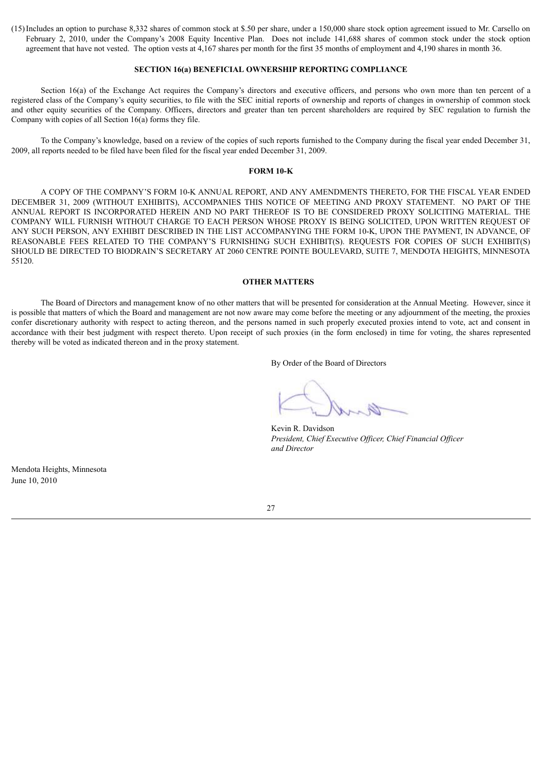(15)Includes an option to purchase 8,332 shares of common stock at \$.50 per share, under a 150,000 share stock option agreement issued to Mr. Carsello on February 2, 2010, under the Company's 2008 Equity Incentive Plan. Does not include 141,688 shares of common stock under the stock option agreement that have not vested. The option vests at 4,167 shares per month for the first 35 months of employment and 4,190 shares in month 36.

# **SECTION 16(a) BENEFICIAL OWNERSHIP REPORTING COMPLIANCE**

Section 16(a) of the Exchange Act requires the Company's directors and executive officers, and persons who own more than ten percent of a registered class of the Company's equity securities, to file with the SEC initial reports of ownership and reports of changes in ownership of common stock and other equity securities of the Company. Officers, directors and greater than ten percent shareholders are required by SEC regulation to furnish the Company with copies of all Section 16(a) forms they file.

To the Company's knowledge, based on a review of the copies of such reports furnished to the Company during the fiscal year ended December 31, 2009, all reports needed to be filed have been filed for the fiscal year ended December 31, 2009.

#### **FORM 10-K**

A COPY OF THE COMPANY'S FORM 10-K ANNUAL REPORT, AND ANY AMENDMENTS THERETO, FOR THE FISCAL YEAR ENDED DECEMBER 31, 2009 (WITHOUT EXHIBITS), ACCOMPANIES THIS NOTICE OF MEETING AND PROXY STATEMENT. NO PART OF THE ANNUAL REPORT IS INCORPORATED HEREIN AND NO PART THEREOF IS TO BE CONSIDERED PROXY SOLICITING MATERIAL. THE COMPANY WILL FURNISH WITHOUT CHARGE TO EACH PERSON WHOSE PROXY IS BEING SOLICITED, UPON WRITTEN REQUEST OF ANY SUCH PERSON, ANY EXHIBIT DESCRIBED IN THE LIST ACCOMPANYING THE FORM 10-K, UPON THE PAYMENT, IN ADVANCE, OF REASONABLE FEES RELATED TO THE COMPANY'S FURNISHING SUCH EXHIBIT(S). REQUESTS FOR COPIES OF SUCH EXHIBIT(S) SHOULD BE DIRECTED TO BIODRAIN'S SECRETARY AT 2060 CENTRE POINTE BOULEVARD, SUITE 7, MENDOTA HEIGHTS, MINNESOTA 55120.

#### **OTHER MATTERS**

The Board of Directors and management know of no other matters that will be presented for consideration at the Annual Meeting. However, since it is possible that matters of which the Board and management are not now aware may come before the meeting or any adjournment of the meeting, the proxies confer discretionary authority with respect to acting thereon, and the persons named in such properly executed proxies intend to vote, act and consent in accordance with their best judgment with respect thereto. Upon receipt of such proxies (in the form enclosed) in time for voting, the shares represented thereby will be voted as indicated thereon and in the proxy statement.

By Order of the Board of Directors

Kevin R. Davidson *President, Chief Executive Of icer, Chief Financial Of icer and Director*

Mendota Heights, Minnesota June 10, 2010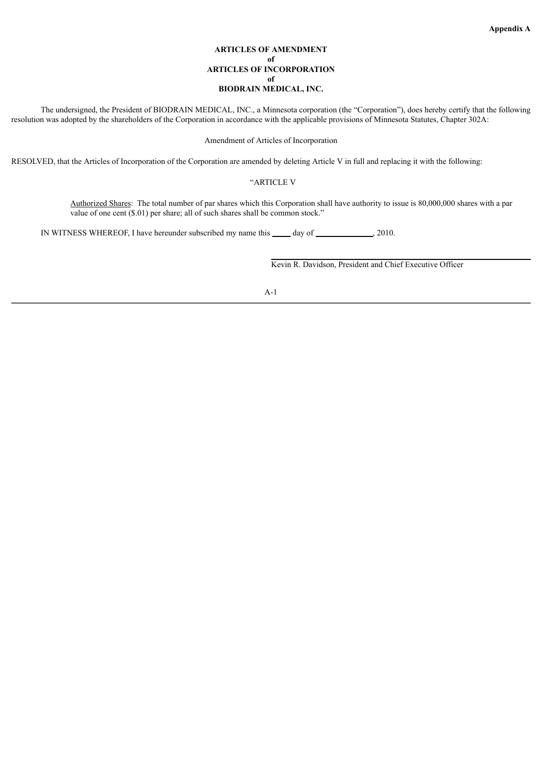# **ARTICLES OF AMENDMENT of ARTICLES OF INCORPORATION of BIODRAIN MEDICAL, INC.**

The undersigned, the President of BIODRAIN MEDICAL, INC., a Minnesota corporation (the "Corporation"), does hereby certify that the following resolution was adopted by the shareholders of the Corporation in accordance with the applicable provisions of Minnesota Statutes, Chapter 302A:

### Amendment of Articles of Incorporation

RESOLVED, that the Articles of Incorporation of the Corporation are amended by deleting Article V in full and replacing it with the following:

# "ARTICLE V

Authorized Shares: The total number of par shares which this Corporation shall have authority to issue is 80,000,000 shares with a par value of one cent (\$.01) per share; all of such shares shall be common stock."

IN WITNESS WHEREOF, I have hereunder subscribed my name this \_\_\_\_\_ day of \_\_\_\_\_\_\_\_\_\_\_\_\_\_, 2010.

Kevin R. Davidson, President and Chief Executive Officer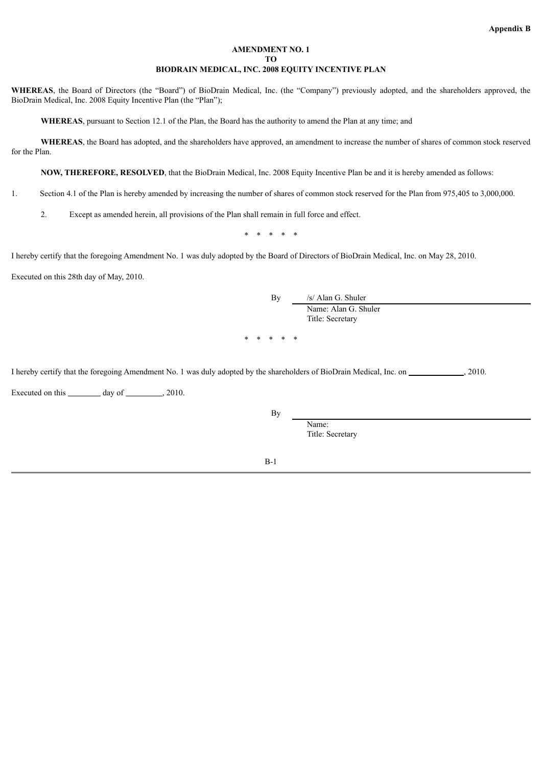# **AMENDMENT NO. 1 TO BIODRAIN MEDICAL, INC. 2008 EQUITY INCENTIVE PLAN**

**WHEREAS**, the Board of Directors (the "Board") of BioDrain Medical, Inc. (the "Company") previously adopted, and the shareholders approved, the BioDrain Medical, Inc. 2008 Equity Incentive Plan (the "Plan");

**WHEREAS**, pursuant to Section 12.1 of the Plan, the Board has the authority to amend the Plan at any time; and

**WHEREAS**, the Board has adopted, and the shareholders have approved, an amendment to increase the number of shares of common stock reserved for the Plan.

**NOW, THEREFORE, RESOLVED**, that the BioDrain Medical, Inc. 2008 Equity Incentive Plan be and it is hereby amended as follows:

1. Section 4.1 of the Plan is hereby amended by increasing the number of shares of common stock reserved for the Plan from 975,405 to 3,000,000.

2. Except as amended herein, all provisions of the Plan shall remain in full force and effect.

\* \* \* \* \*

I hereby certify that the foregoing Amendment No. 1 was duly adopted by the Board of Directors of BioDrain Medical, Inc. on May 28, 2010.

Executed on this 28th day of May, 2010.

By /s/ Alan G. Shuler Name: Alan G. Shuler Title: Secretary \* \* \* \* \*

I hereby certify that the foregoing Amendment No. 1 was duly adopted by the shareholders of BioDrain Medical, Inc. on  $\sim$  , 2010.

Executed on this  $\_\_\_\_\_\$  day of  $\_\_\_\_\_\$  2010.

By

Title: Secretary

Name:

B-1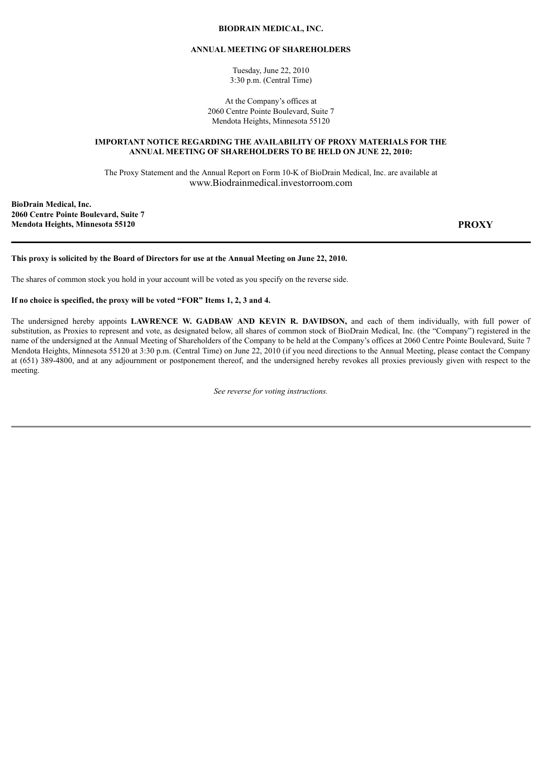# **BIODRAIN MEDICAL, INC.**

# **ANNUAL MEETING OF SHAREHOLDERS**

Tuesday, June 22, 2010 3:30 p.m. (Central Time)

At the Company's offices at 2060 Centre Pointe Boulevard, Suite 7 Mendota Heights, Minnesota 55120

# **IMPORTANT NOTICE REGARDING THE AVAILABILITY OF PROXY MATERIALS FOR THE ANNUAL MEETING OF SHAREHOLDERS TO BE HELD ON JUNE 22, 2010:**

The Proxy Statement and the Annual Report on Form 10-K of BioDrain Medical, Inc. are available at www.Biodrainmedical.investorroom.com

**BioDrain Medical, Inc. 2060 Centre Pointe Boulevard, Suite 7 Mendota Heights, Minnesota 55120 PROXY**

# This proxy is solicited by the Board of Directors for use at the Annual Meeting on June 22, 2010.

The shares of common stock you hold in your account will be voted as you specify on the reverse side.

# **If no choice is specified, the proxy will be voted "FOR" Items 1, 2, 3 and 4.**

The undersigned hereby appoints **LAWRENCE W. GADBAW AND KEVIN R. DAVIDSON,** and each of them individually, with full power of substitution, as Proxies to represent and vote, as designated below, all shares of common stock of BioDrain Medical, Inc. (the "Company") registered in the name of the undersigned at the Annual Meeting of Shareholders of the Company to be held at the Company's offices at 2060 Centre Pointe Boulevard, Suite 7 Mendota Heights, Minnesota 55120 at 3:30 p.m. (Central Time) on June 22, 2010 (if you need directions to the Annual Meeting, please contact the Company at (651) 389-4800, and at any adjournment or postponement thereof, and the undersigned hereby revokes all proxies previously given with respect to the meeting.

*See reverse for voting instructions.*